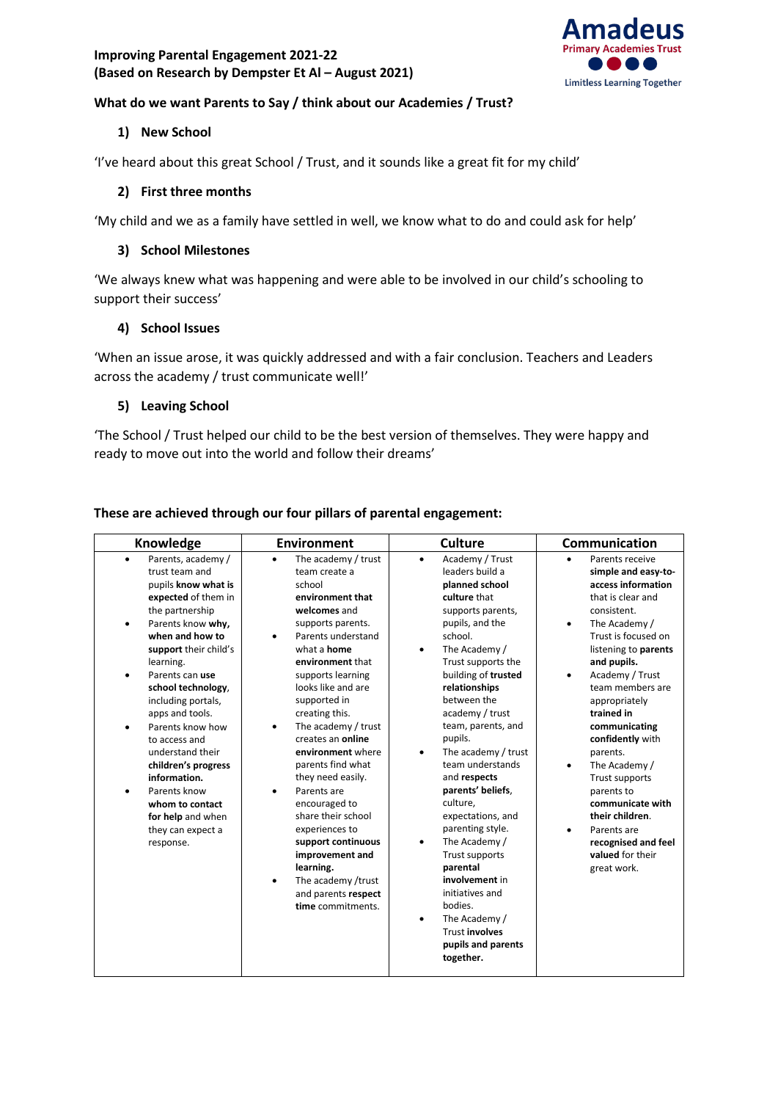

### **What do we want Parents to Say / think about our Academies / Trust?**

### **1) New School**

'I've heard about this great School / Trust, and it sounds like a great fit for my child'

### **2) First three months**

'My child and we as a family have settled in well, we know what to do and could ask for help'

### **3) School Milestones**

'We always knew what was happening and were able to be involved in our child's schooling to support their success'

### **4) School Issues**

'When an issue arose, it was quickly addressed and with a fair conclusion. Teachers and Leaders across the academy / trust communicate well!'

### **5) Leaving School**

'The School / Trust helped our child to be the best version of themselves. They were happy and ready to move out into the world and follow their dreams'

### **These are achieved through our four pillars of parental engagement:**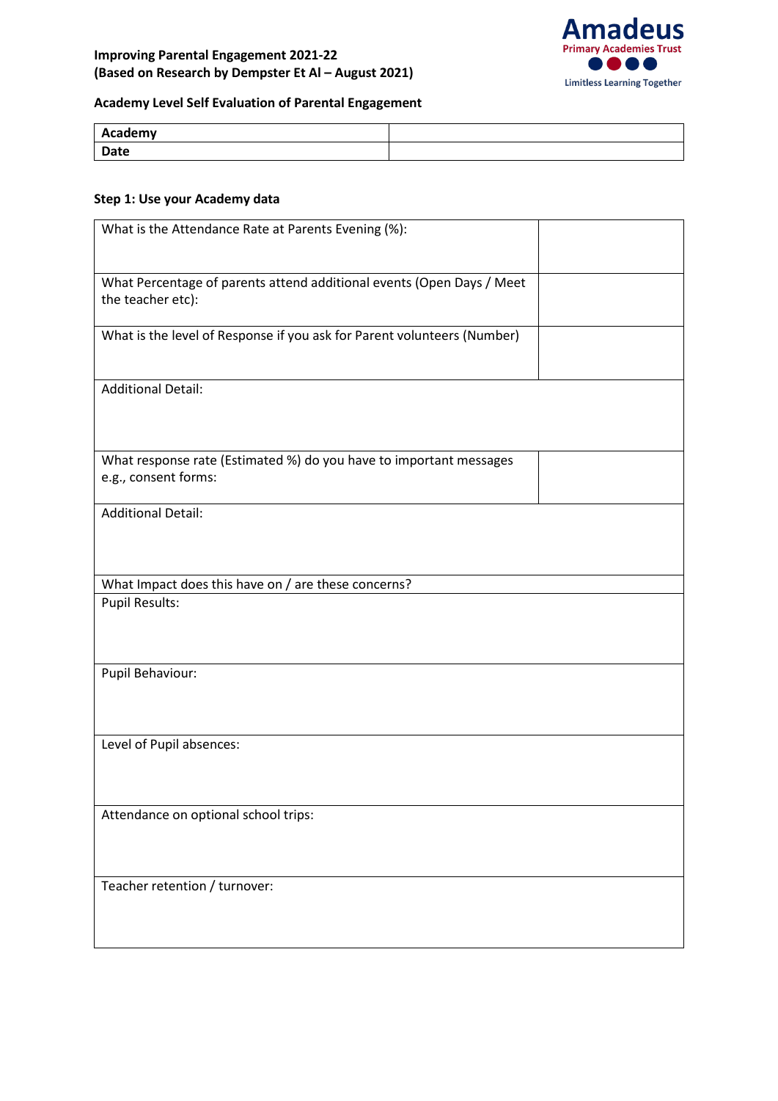

# **Academy Level Self Evaluation of Parental Engagement**

| Academy     |  |
|-------------|--|
| <b>Date</b> |  |

### **Step 1: Use your Academy data**

| What is the Attendance Rate at Parents Evening (%):                     |  |
|-------------------------------------------------------------------------|--|
|                                                                         |  |
|                                                                         |  |
| What Percentage of parents attend additional events (Open Days / Meet   |  |
| the teacher etc):                                                       |  |
|                                                                         |  |
| What is the level of Response if you ask for Parent volunteers (Number) |  |
|                                                                         |  |
|                                                                         |  |
| <b>Additional Detail:</b>                                               |  |
|                                                                         |  |
|                                                                         |  |
|                                                                         |  |
| What response rate (Estimated %) do you have to important messages      |  |
| e.g., consent forms:                                                    |  |
|                                                                         |  |
| <b>Additional Detail:</b>                                               |  |
|                                                                         |  |
|                                                                         |  |
|                                                                         |  |
| What Impact does this have on / are these concerns?                     |  |
| <b>Pupil Results:</b>                                                   |  |
|                                                                         |  |
|                                                                         |  |
| Pupil Behaviour:                                                        |  |
|                                                                         |  |
|                                                                         |  |
|                                                                         |  |
| Level of Pupil absences:                                                |  |
|                                                                         |  |
|                                                                         |  |
|                                                                         |  |
| Attendance on optional school trips:                                    |  |
|                                                                         |  |
|                                                                         |  |
|                                                                         |  |
| Teacher retention / turnover:                                           |  |
|                                                                         |  |
|                                                                         |  |
|                                                                         |  |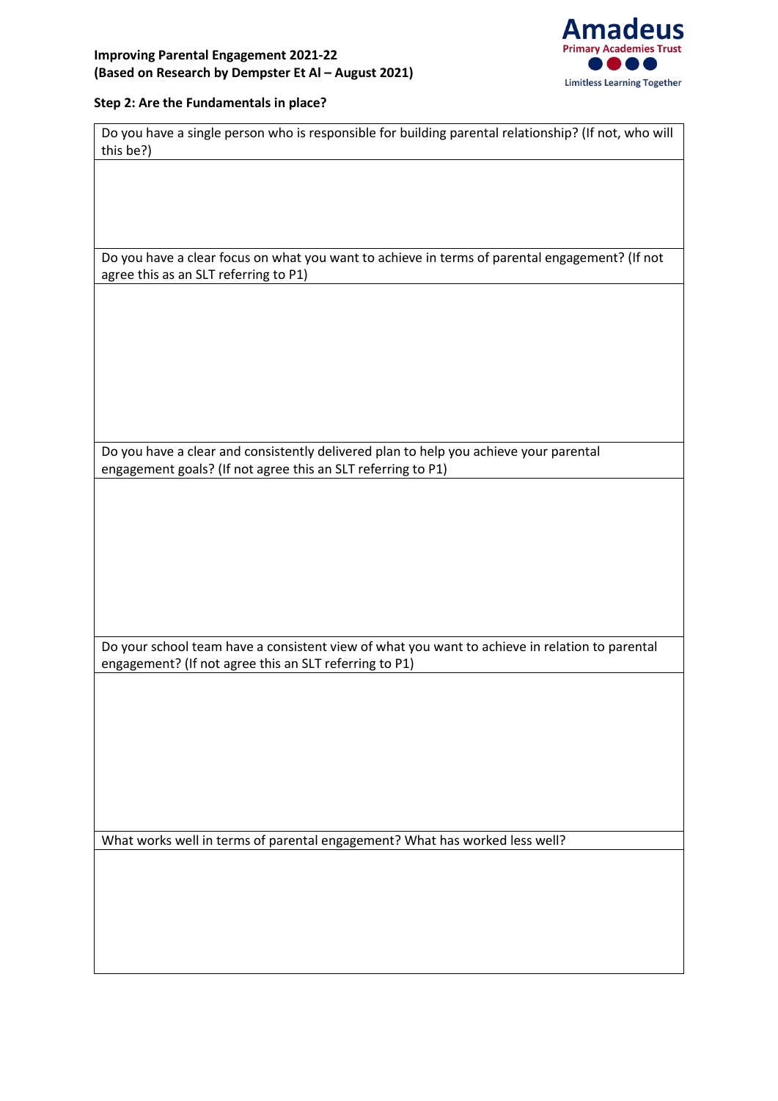

# **Step 2: Are the Fundamentals in place?**

| Do you have a single person who is responsible for building parental relationship? (If not, who will<br>this be?)                                     |
|-------------------------------------------------------------------------------------------------------------------------------------------------------|
|                                                                                                                                                       |
|                                                                                                                                                       |
|                                                                                                                                                       |
| Do you have a clear focus on what you want to achieve in terms of parental engagement? (If not                                                        |
| agree this as an SLT referring to P1)                                                                                                                 |
|                                                                                                                                                       |
|                                                                                                                                                       |
|                                                                                                                                                       |
|                                                                                                                                                       |
|                                                                                                                                                       |
|                                                                                                                                                       |
| Do you have a clear and consistently delivered plan to help you achieve your parental<br>engagement goals? (If not agree this an SLT referring to P1) |
|                                                                                                                                                       |
|                                                                                                                                                       |
|                                                                                                                                                       |
|                                                                                                                                                       |
|                                                                                                                                                       |
|                                                                                                                                                       |
| Do your school team have a consistent view of what you want to achieve in relation to parental                                                        |
| engagement? (If not agree this an SLT referring to P1)                                                                                                |
|                                                                                                                                                       |
|                                                                                                                                                       |
|                                                                                                                                                       |
|                                                                                                                                                       |
|                                                                                                                                                       |
|                                                                                                                                                       |
| What works well in terms of parental engagement? What has worked less well?                                                                           |
|                                                                                                                                                       |
|                                                                                                                                                       |
|                                                                                                                                                       |
|                                                                                                                                                       |
|                                                                                                                                                       |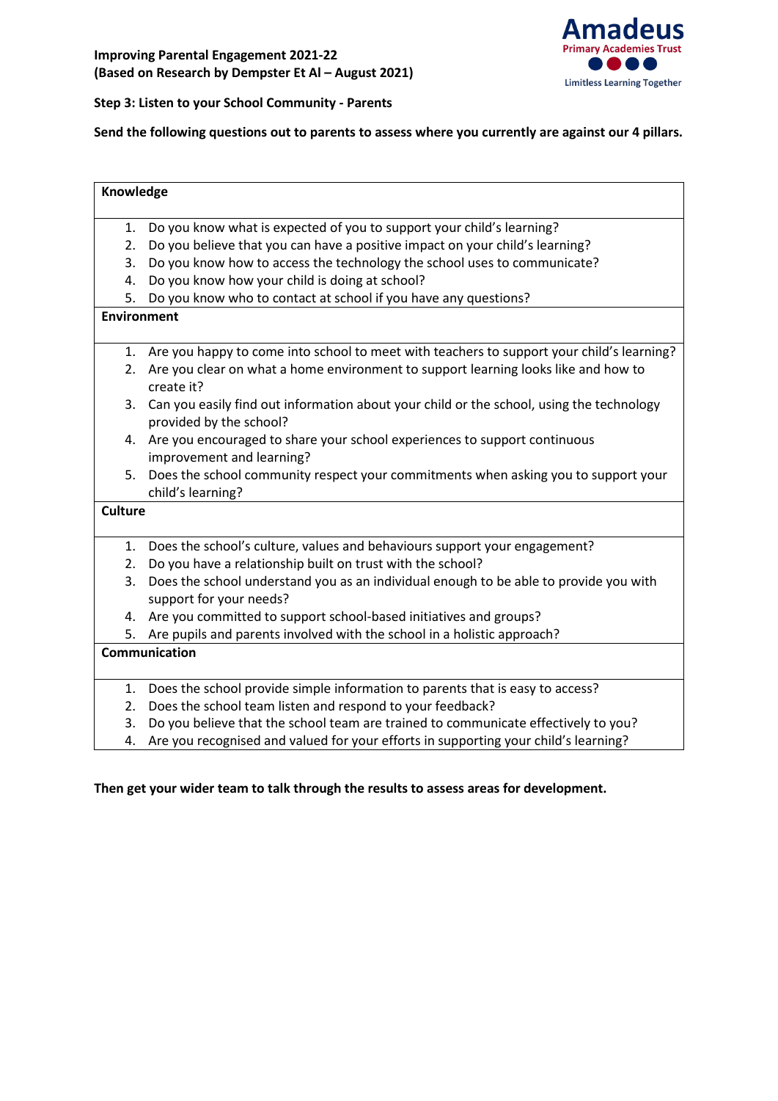

### **Step 3: Listen to your School Community - Parents**

## **Send the following questions out to parents to assess where you currently are against our 4 pillars.**

| Knowledge          |                                                                                                                        |
|--------------------|------------------------------------------------------------------------------------------------------------------------|
| 1.                 | Do you know what is expected of you to support your child's learning?                                                  |
| 2.                 | Do you believe that you can have a positive impact on your child's learning?                                           |
| 3.                 | Do you know how to access the technology the school uses to communicate?                                               |
| 4.                 | Do you know how your child is doing at school?                                                                         |
| 5.                 | Do you know who to contact at school if you have any questions?                                                        |
| <b>Environment</b> |                                                                                                                        |
|                    | 1. Are you happy to come into school to meet with teachers to support your child's learning?                           |
| 2.                 | Are you clear on what a home environment to support learning looks like and how to<br>create it?                       |
|                    | 3. Can you easily find out information about your child or the school, using the technology<br>provided by the school? |
|                    | 4. Are you encouraged to share your school experiences to support continuous<br>improvement and learning?              |
| 5.                 | Does the school community respect your commitments when asking you to support your<br>child's learning?                |
| <b>Culture</b>     |                                                                                                                        |
| 1.                 | Does the school's culture, values and behaviours support your engagement?                                              |
| 2.                 | Do you have a relationship built on trust with the school?                                                             |
| 3.                 | Does the school understand you as an individual enough to be able to provide you with<br>support for your needs?       |
| 4.                 | Are you committed to support school-based initiatives and groups?                                                      |
| 5.                 | Are pupils and parents involved with the school in a holistic approach?                                                |
|                    | <b>Communication</b>                                                                                                   |
|                    |                                                                                                                        |
| 1.                 | Does the school provide simple information to parents that is easy to access?                                          |
| 2.                 | Does the school team listen and respond to your feedback?                                                              |
| 3.                 | Do you believe that the school team are trained to communicate effectively to you?                                     |
| 4.                 | Are you recognised and valued for your efforts in supporting your child's learning?                                    |

## **Then get your wider team to talk through the results to assess areas for development.**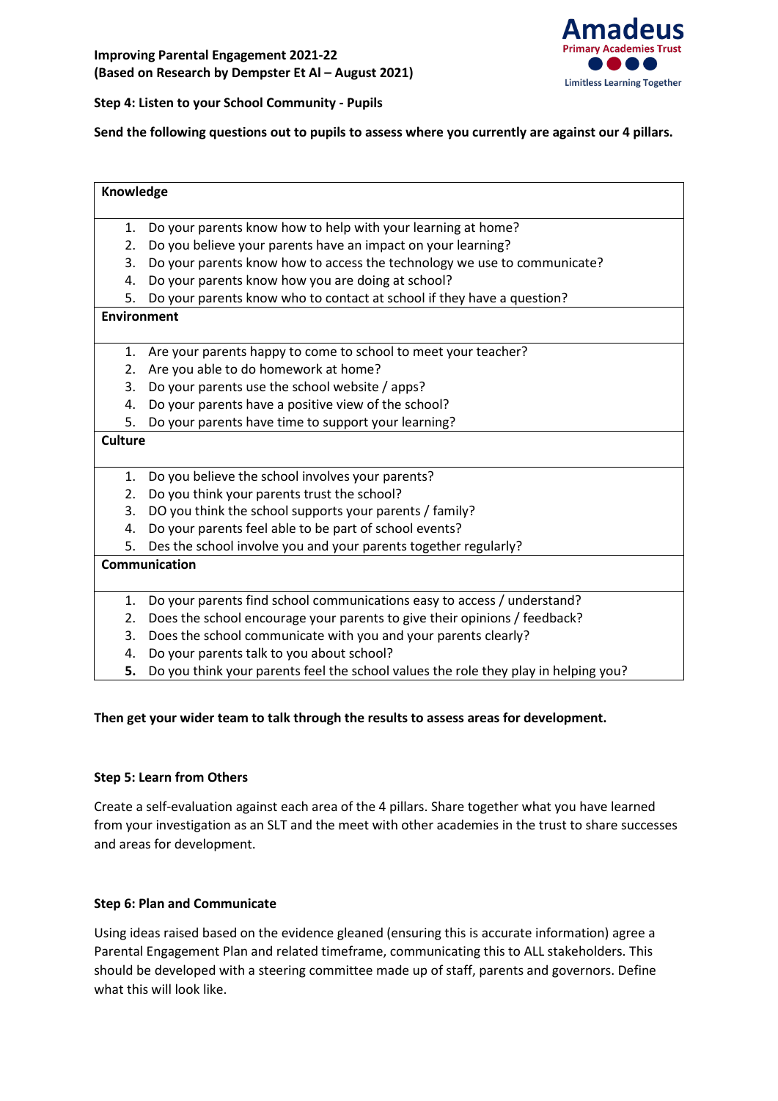

**Step 4: Listen to your School Community - Pupils**

**Send the following questions out to pupils to assess where you currently are against our 4 pillars.**

| Knowledge          |                                                                                     |
|--------------------|-------------------------------------------------------------------------------------|
|                    |                                                                                     |
| 1.                 | Do your parents know how to help with your learning at home?                        |
| 2.                 | Do you believe your parents have an impact on your learning?                        |
| 3.                 | Do your parents know how to access the technology we use to communicate?            |
| 4.                 | Do your parents know how you are doing at school?                                   |
| 5.                 | Do your parents know who to contact at school if they have a question?              |
| <b>Environment</b> |                                                                                     |
|                    |                                                                                     |
| 1.                 | Are your parents happy to come to school to meet your teacher?                      |
| 2.                 | Are you able to do homework at home?                                                |
| 3.                 | Do your parents use the school website / apps?                                      |
| 4.                 | Do your parents have a positive view of the school?                                 |
| 5.                 | Do your parents have time to support your learning?                                 |
| <b>Culture</b>     |                                                                                     |
|                    |                                                                                     |
| 1.                 | Do you believe the school involves your parents?                                    |
| 2.                 | Do you think your parents trust the school?                                         |
| 3.                 | DO you think the school supports your parents / family?                             |
| 4.                 | Do your parents feel able to be part of school events?                              |
| 5.                 | Des the school involve you and your parents together regularly?                     |
|                    | <b>Communication</b>                                                                |
|                    |                                                                                     |
| 1.                 | Do your parents find school communications easy to access / understand?             |
| 2.                 | Does the school encourage your parents to give their opinions / feedback?           |
| 3.                 | Does the school communicate with you and your parents clearly?                      |
| 4.                 | Do your parents talk to you about school?                                           |
| 5.                 | Do you think your parents feel the school values the role they play in helping you? |
|                    |                                                                                     |

## **Then get your wider team to talk through the results to assess areas for development.**

#### **Step 5: Learn from Others**

Create a self-evaluation against each area of the 4 pillars. Share together what you have learned from your investigation as an SLT and the meet with other academies in the trust to share successes and areas for development.

#### **Step 6: Plan and Communicate**

Using ideas raised based on the evidence gleaned (ensuring this is accurate information) agree a Parental Engagement Plan and related timeframe, communicating this to ALL stakeholders. This should be developed with a steering committee made up of staff, parents and governors. Define what this will look like.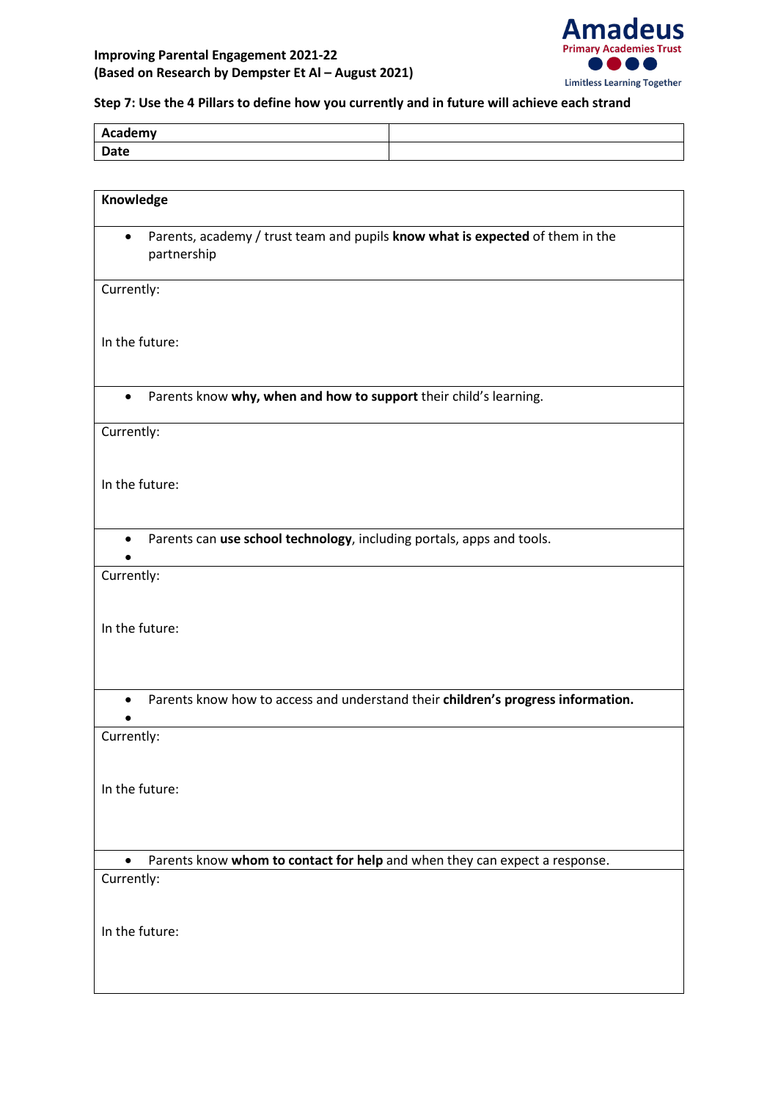$\mathsf{l}$ 



# **Step 7: Use the 4 Pillars to define how you currently and in future will achieve each strand**

| Academy |  |
|---------|--|
| Date    |  |

| Knowledge                                                                                                 |
|-----------------------------------------------------------------------------------------------------------|
|                                                                                                           |
| Parents, academy / trust team and pupils know what is expected of them in the<br>$\bullet$<br>partnership |
| Currently:                                                                                                |
| In the future:                                                                                            |
| Parents know why, when and how to support their child's learning.<br>$\bullet$                            |
| Currently:                                                                                                |
| In the future:                                                                                            |
| Parents can use school technology, including portals, apps and tools.                                     |
| Currently:                                                                                                |
|                                                                                                           |
| In the future:                                                                                            |
| Parents know how to access and understand their children's progress information.                          |
| Currently:                                                                                                |
| In the future:                                                                                            |
|                                                                                                           |
| Parents know whom to contact for help and when they can expect a response.<br>Currently:                  |
|                                                                                                           |
| In the future:                                                                                            |
|                                                                                                           |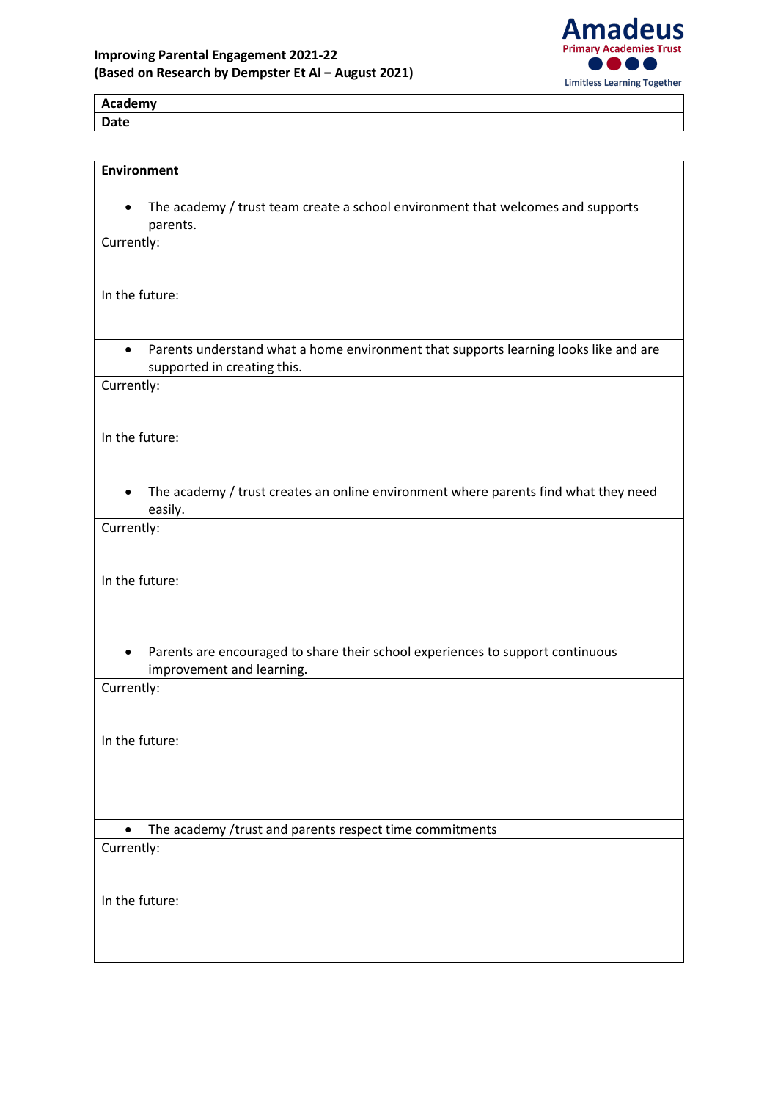

| Academy   |  |
|-----------|--|
| -<br>Date |  |

| <b>Environment</b>                                                                                          |
|-------------------------------------------------------------------------------------------------------------|
| The academy / trust team create a school environment that welcomes and supports<br>$\bullet$<br>parents.    |
| Currently:                                                                                                  |
|                                                                                                             |
| In the future:                                                                                              |
|                                                                                                             |
| Parents understand what a home environment that supports learning looks like and are<br>$\bullet$           |
| supported in creating this.<br>Currently:                                                                   |
|                                                                                                             |
| In the future:                                                                                              |
|                                                                                                             |
|                                                                                                             |
| The academy / trust creates an online environment where parents find what they need<br>$\bullet$<br>easily. |
| Currently:                                                                                                  |
|                                                                                                             |
| In the future:                                                                                              |
|                                                                                                             |
|                                                                                                             |
| Parents are encouraged to share their school experiences to support continuous<br>$\bullet$                 |
| improvement and learning.<br>Currently:                                                                     |
|                                                                                                             |
|                                                                                                             |
| In the future:                                                                                              |
|                                                                                                             |
|                                                                                                             |
| The academy /trust and parents respect time commitments                                                     |
| Currently:                                                                                                  |
|                                                                                                             |
| In the future:                                                                                              |
|                                                                                                             |
|                                                                                                             |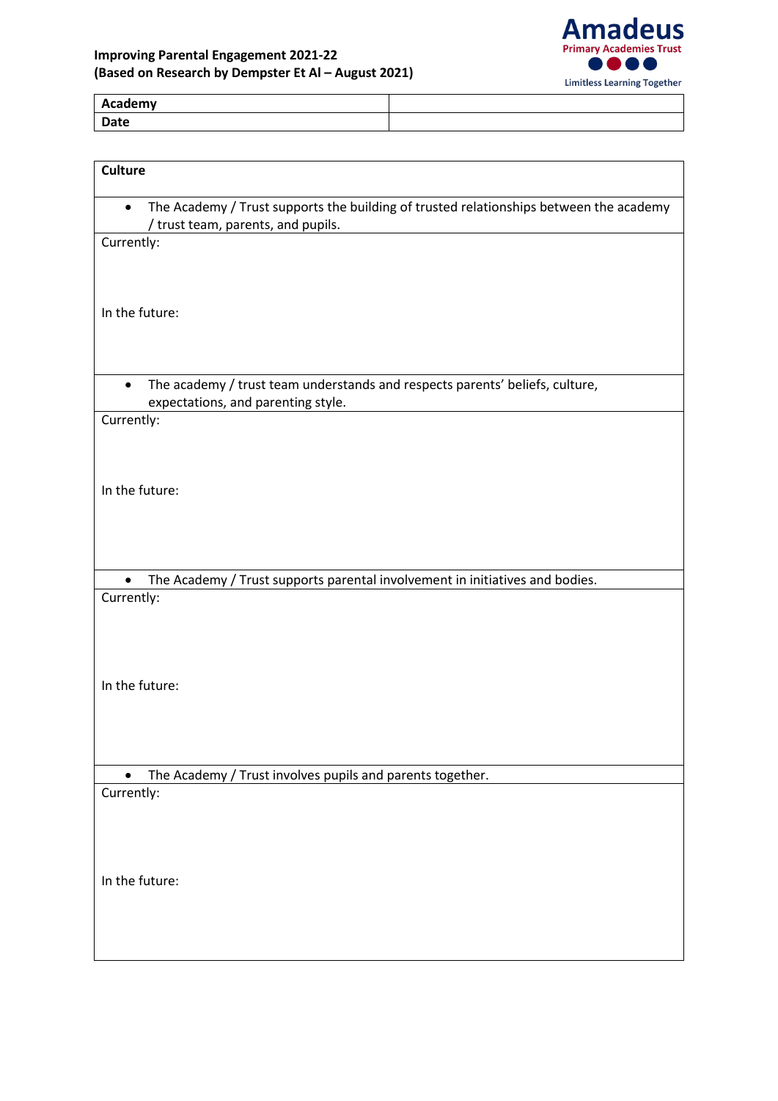

| Academy     |  |
|-------------|--|
| <b>Date</b> |  |

| <b>Culture</b>                                                                                                                            |
|-------------------------------------------------------------------------------------------------------------------------------------------|
| The Academy / Trust supports the building of trusted relationships between the academy<br>$\bullet$<br>/ trust team, parents, and pupils. |
| Currently:                                                                                                                                |
|                                                                                                                                           |
| In the future:                                                                                                                            |
| The academy / trust team understands and respects parents' beliefs, culture,<br>$\bullet$<br>expectations, and parenting style.           |
| Currently:                                                                                                                                |
|                                                                                                                                           |
| In the future:                                                                                                                            |
|                                                                                                                                           |
| The Academy / Trust supports parental involvement in initiatives and bodies.<br>$\bullet$                                                 |
| Currently:                                                                                                                                |
| In the future:                                                                                                                            |
| The Academy / Trust involves pupils and parents together.<br>$\bullet$                                                                    |
| Currently:                                                                                                                                |
| In the future:                                                                                                                            |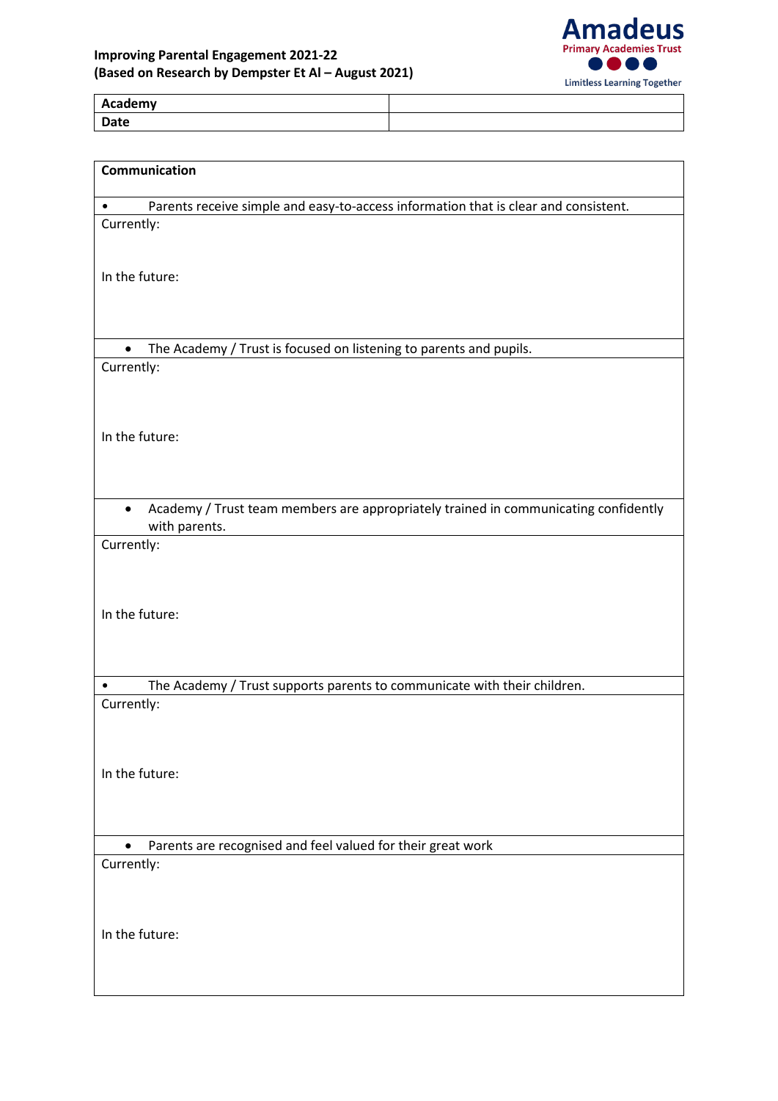

**Academy Date**

| Communication                                                                                                     |
|-------------------------------------------------------------------------------------------------------------------|
| Parents receive simple and easy-to-access information that is clear and consistent.<br>$\bullet$                  |
| Currently:                                                                                                        |
| In the future:                                                                                                    |
| The Academy / Trust is focused on listening to parents and pupils.<br>$\bullet$                                   |
| Currently:                                                                                                        |
| In the future:                                                                                                    |
| Academy / Trust team members are appropriately trained in communicating confidently<br>$\bullet$<br>with parents. |
| Currently:<br>In the future:                                                                                      |
| The Academy / Trust supports parents to communicate with their children.<br>٠                                     |
| Currently:<br>In the future:                                                                                      |
|                                                                                                                   |
| Parents are recognised and feel valued for their great work<br>٠                                                  |
| Currently:<br>In the future:                                                                                      |
|                                                                                                                   |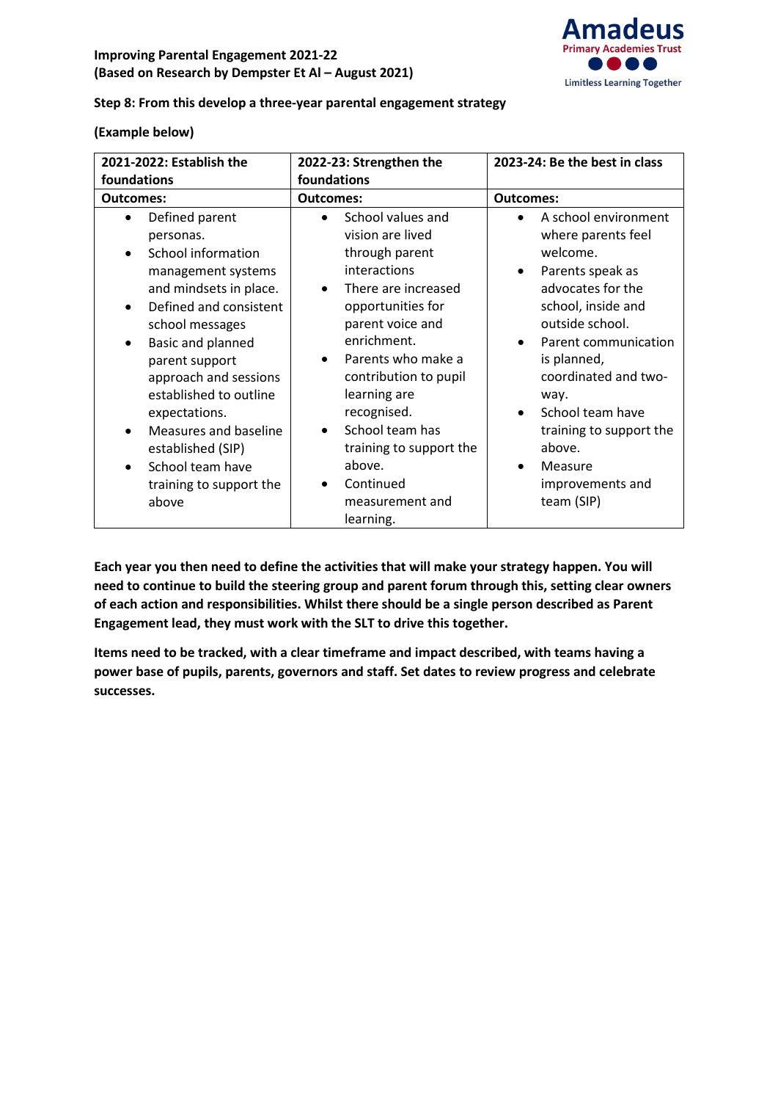

### **Step 8: From this develop a three-year parental engagement strategy**

**(Example below)**

| 2021-2022: Establish the                                                                                                                                                                                                                                                                                                                                        | 2022-23: Strengthen the                                                                                                                                                                                                                                                                                                                                | 2023-24: Be the best in class                                                                                                                                                                                                                                                                                                      |
|-----------------------------------------------------------------------------------------------------------------------------------------------------------------------------------------------------------------------------------------------------------------------------------------------------------------------------------------------------------------|--------------------------------------------------------------------------------------------------------------------------------------------------------------------------------------------------------------------------------------------------------------------------------------------------------------------------------------------------------|------------------------------------------------------------------------------------------------------------------------------------------------------------------------------------------------------------------------------------------------------------------------------------------------------------------------------------|
| foundations                                                                                                                                                                                                                                                                                                                                                     | foundations                                                                                                                                                                                                                                                                                                                                            |                                                                                                                                                                                                                                                                                                                                    |
| <b>Outcomes:</b><br><b>Outcomes:</b>                                                                                                                                                                                                                                                                                                                            |                                                                                                                                                                                                                                                                                                                                                        | <b>Outcomes:</b>                                                                                                                                                                                                                                                                                                                   |
| Defined parent<br>personas.<br>School information<br>management systems<br>and mindsets in place.<br>Defined and consistent<br>school messages<br>Basic and planned<br>parent support<br>approach and sessions<br>established to outline<br>expectations.<br>Measures and baseline<br>established (SIP)<br>School team have<br>training to support the<br>above | School values and<br>vision are lived<br>through parent<br>interactions<br>There are increased<br>opportunities for<br>parent voice and<br>enrichment.<br>Parents who make a<br>$\bullet$<br>contribution to pupil<br>learning are<br>recognised.<br>School team has<br>training to support the<br>above.<br>Continued<br>measurement and<br>learning. | A school environment<br>where parents feel<br>welcome.<br>Parents speak as<br>advocates for the<br>school, inside and<br>outside school.<br>Parent communication<br>$\bullet$<br>is planned,<br>coordinated and two-<br>way.<br>School team have<br>training to support the<br>above.<br>Measure<br>improvements and<br>team (SIP) |

**Each year you then need to define the activities that will make your strategy happen. You will need to continue to build the steering group and parent forum through this, setting clear owners of each action and responsibilities. Whilst there should be a single person described as Parent Engagement lead, they must work with the SLT to drive this together.**

**Items need to be tracked, with a clear timeframe and impact described, with teams having a power base of pupils, parents, governors and staff. Set dates to review progress and celebrate successes.**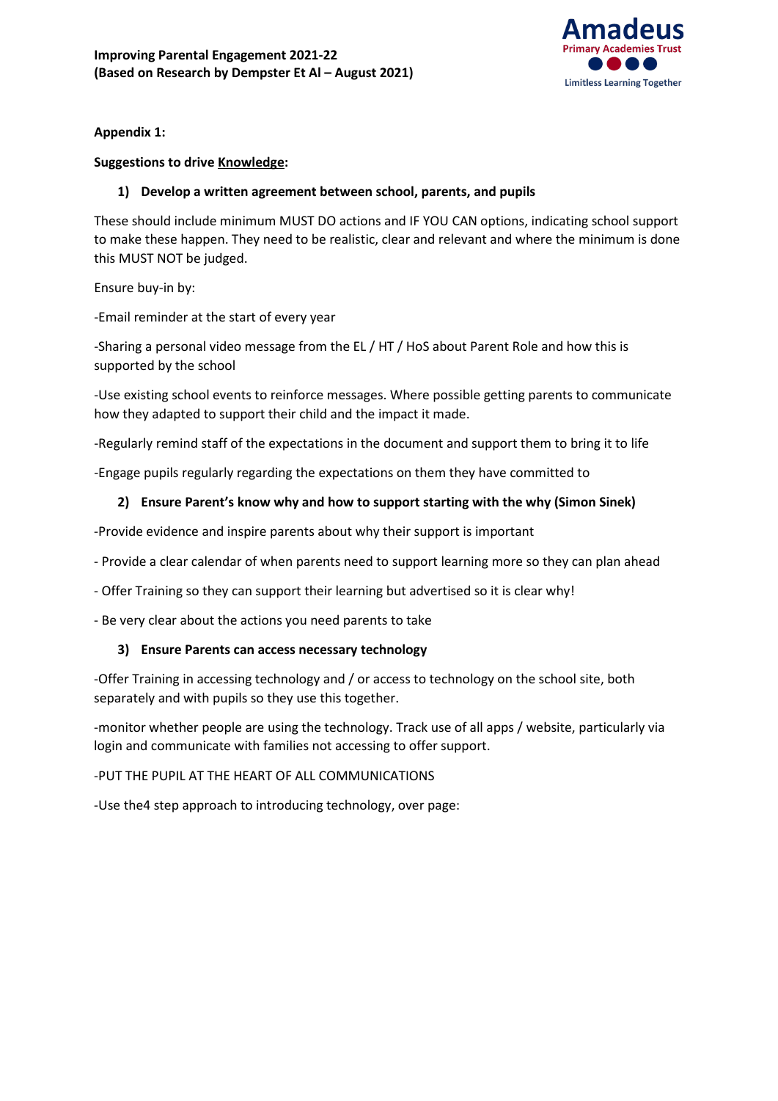

### **Appendix 1:**

### **Suggestions to drive Knowledge:**

### **1) Develop a written agreement between school, parents, and pupils**

These should include minimum MUST DO actions and IF YOU CAN options, indicating school support to make these happen. They need to be realistic, clear and relevant and where the minimum is done this MUST NOT be judged.

Ensure buy-in by:

-Email reminder at the start of every year

-Sharing a personal video message from the EL / HT / HoS about Parent Role and how this is supported by the school

-Use existing school events to reinforce messages. Where possible getting parents to communicate how they adapted to support their child and the impact it made.

-Regularly remind staff of the expectations in the document and support them to bring it to life

-Engage pupils regularly regarding the expectations on them they have committed to

### **2) Ensure Parent's know why and how to support starting with the why (Simon Sinek)**

-Provide evidence and inspire parents about why their support is important

- Provide a clear calendar of when parents need to support learning more so they can plan ahead

- Offer Training so they can support their learning but advertised so it is clear why!

- Be very clear about the actions you need parents to take

#### **3) Ensure Parents can access necessary technology**

-Offer Training in accessing technology and / or access to technology on the school site, both separately and with pupils so they use this together.

-monitor whether people are using the technology. Track use of all apps / website, particularly via login and communicate with families not accessing to offer support.

#### -PUT THE PUPIL AT THE HEART OF ALL COMMUNICATIONS

-Use the4 step approach to introducing technology, over page: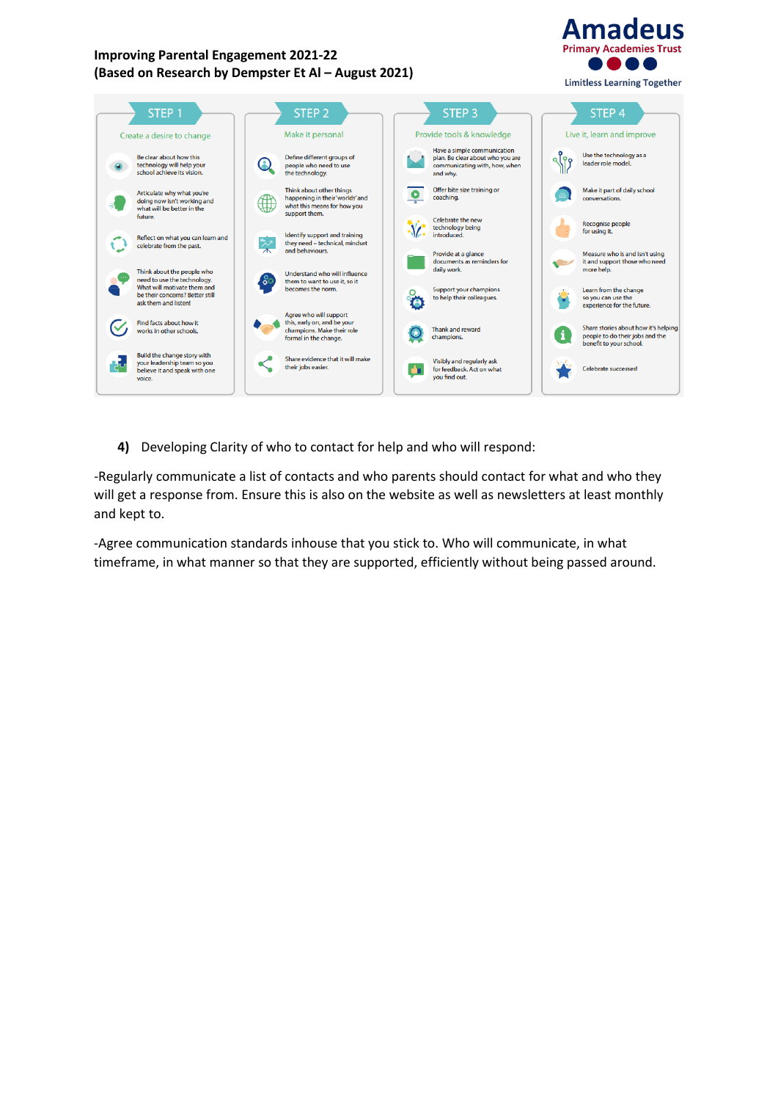

**Limitless Learning Together** 



**4)** Developing Clarity of who to contact for help and who will respond:

-Regularly communicate a list of contacts and who parents should contact for what and who they will get a response from. Ensure this is also on the website as well as newsletters at least monthly and kept to.

-Agree communication standards inhouse that you stick to. Who will communicate, in what timeframe, in what manner so that they are supported, efficiently without being passed around.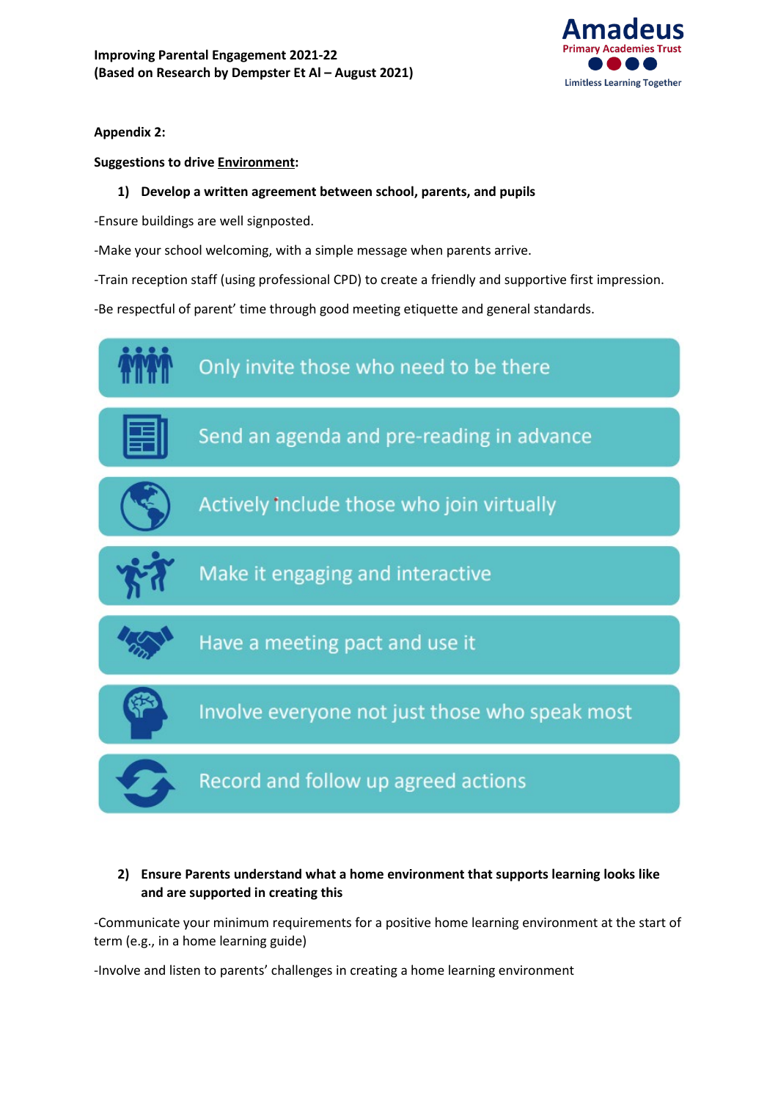

### **Appendix 2:**

### **Suggestions to drive Environment:**

### **1) Develop a written agreement between school, parents, and pupils**

-Ensure buildings are well signposted.

-Make your school welcoming, with a simple message when parents arrive.

-Train reception staff (using professional CPD) to create a friendly and supportive first impression.

-Be respectful of parent' time through good meeting etiquette and general standards.



## **2) Ensure Parents understand what a home environment that supports learning looks like and are supported in creating this**

-Communicate your minimum requirements for a positive home learning environment at the start of term (e.g., in a home learning guide)

-Involve and listen to parents' challenges in creating a home learning environment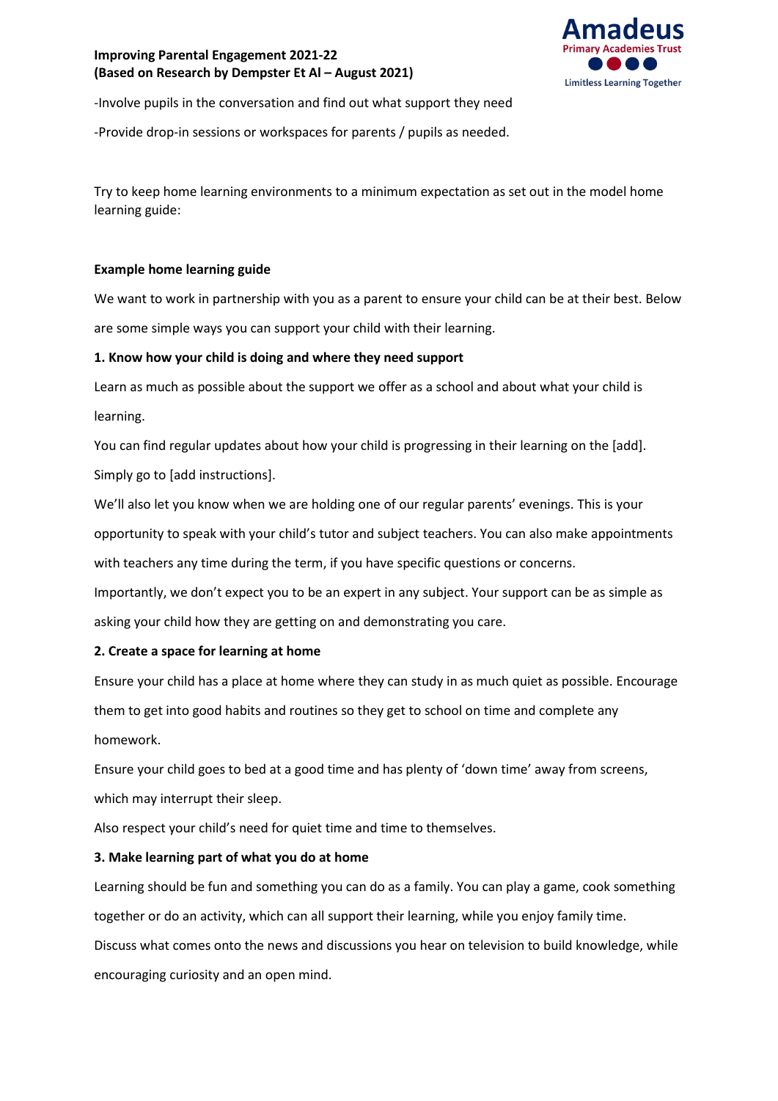

-Involve pupils in the conversation and find out what support they need -Provide drop-in sessions or workspaces for parents / pupils as needed.

Try to keep home learning environments to a minimum expectation as set out in the model home learning guide:

### **Example home learning guide**

We want to work in partnership with you as a parent to ensure your child can be at their best. Below are some simple ways you can support your child with their learning.

### **1. Know how your child is doing and where they need support**

Learn as much as possible about the support we offer as a school and about what your child is learning.

You can find regular updates about how your child is progressing in their learning on the [add]. Simply go to [add instructions].

We'll also let you know when we are holding one of our regular parents' evenings. This is your opportunity to speak with your child's tutor and subject teachers. You can also make appointments with teachers any time during the term, if you have specific questions or concerns.

Importantly, we don't expect you to be an expert in any subject. Your support can be as simple as asking your child how they are getting on and demonstrating you care.

#### **2. Create a space for learning at home**

Ensure your child has a place at home where they can study in as much quiet as possible. Encourage them to get into good habits and routines so they get to school on time and complete any homework.

Ensure your child goes to bed at a good time and has plenty of 'down time' away from screens, which may interrupt their sleep.

Also respect your child's need for quiet time and time to themselves.

## **3. Make learning part of what you do at home**

Learning should be fun and something you can do as a family. You can play a game, cook something together or do an activity, which can all support their learning, while you enjoy family time. Discuss what comes onto the news and discussions you hear on television to build knowledge, while encouraging curiosity and an open mind.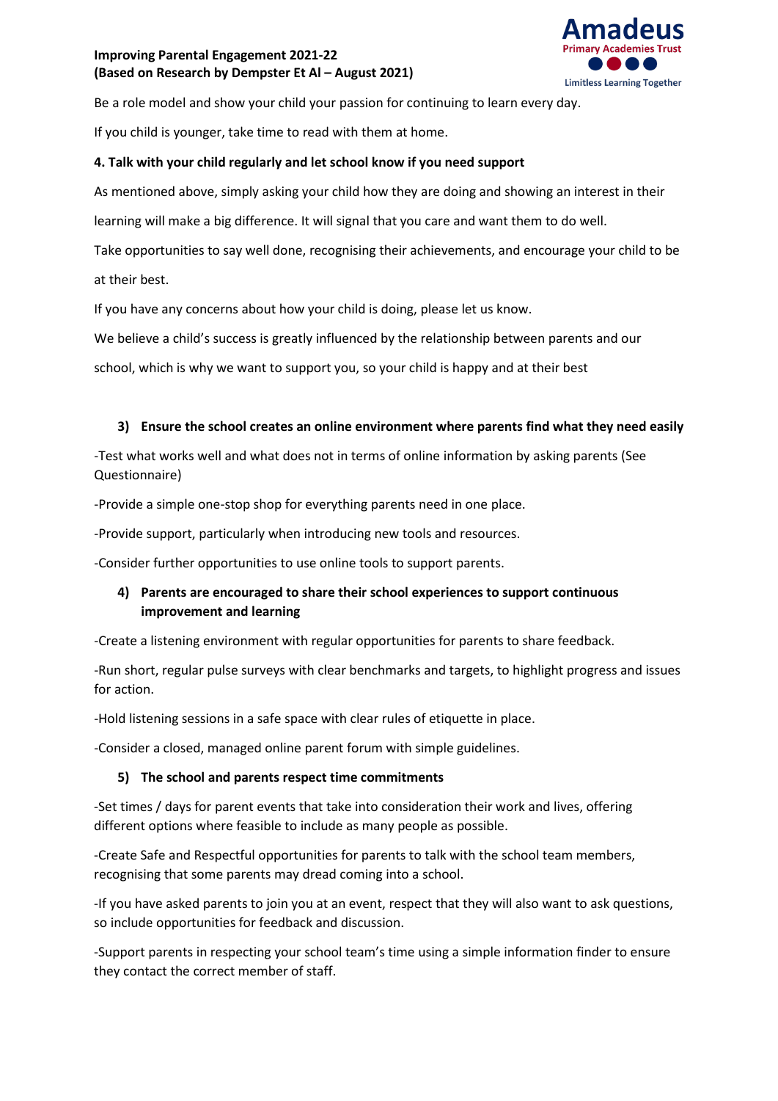

Be a role model and show your child your passion for continuing to learn every day.

If you child is younger, take time to read with them at home.

### **4. Talk with your child regularly and let school know if you need support**

As mentioned above, simply asking your child how they are doing and showing an interest in their

learning will make a big difference. It will signal that you care and want them to do well.

Take opportunities to say well done, recognising their achievements, and encourage your child to be at their best.

If you have any concerns about how your child is doing, please let us know.

We believe a child's success is greatly influenced by the relationship between parents and our

school, which is why we want to support you, so your child is happy and at their best

### **3) Ensure the school creates an online environment where parents find what they need easily**

-Test what works well and what does not in terms of online information by asking parents (See Questionnaire)

-Provide a simple one-stop shop for everything parents need in one place.

-Provide support, particularly when introducing new tools and resources.

-Consider further opportunities to use online tools to support parents.

## **4) Parents are encouraged to share their school experiences to support continuous improvement and learning**

-Create a listening environment with regular opportunities for parents to share feedback.

-Run short, regular pulse surveys with clear benchmarks and targets, to highlight progress and issues for action.

-Hold listening sessions in a safe space with clear rules of etiquette in place.

-Consider a closed, managed online parent forum with simple guidelines.

## **5) The school and parents respect time commitments**

-Set times / days for parent events that take into consideration their work and lives, offering different options where feasible to include as many people as possible.

-Create Safe and Respectful opportunities for parents to talk with the school team members, recognising that some parents may dread coming into a school.

-If you have asked parents to join you at an event, respect that they will also want to ask questions, so include opportunities for feedback and discussion.

-Support parents in respecting your school team's time using a simple information finder to ensure they contact the correct member of staff.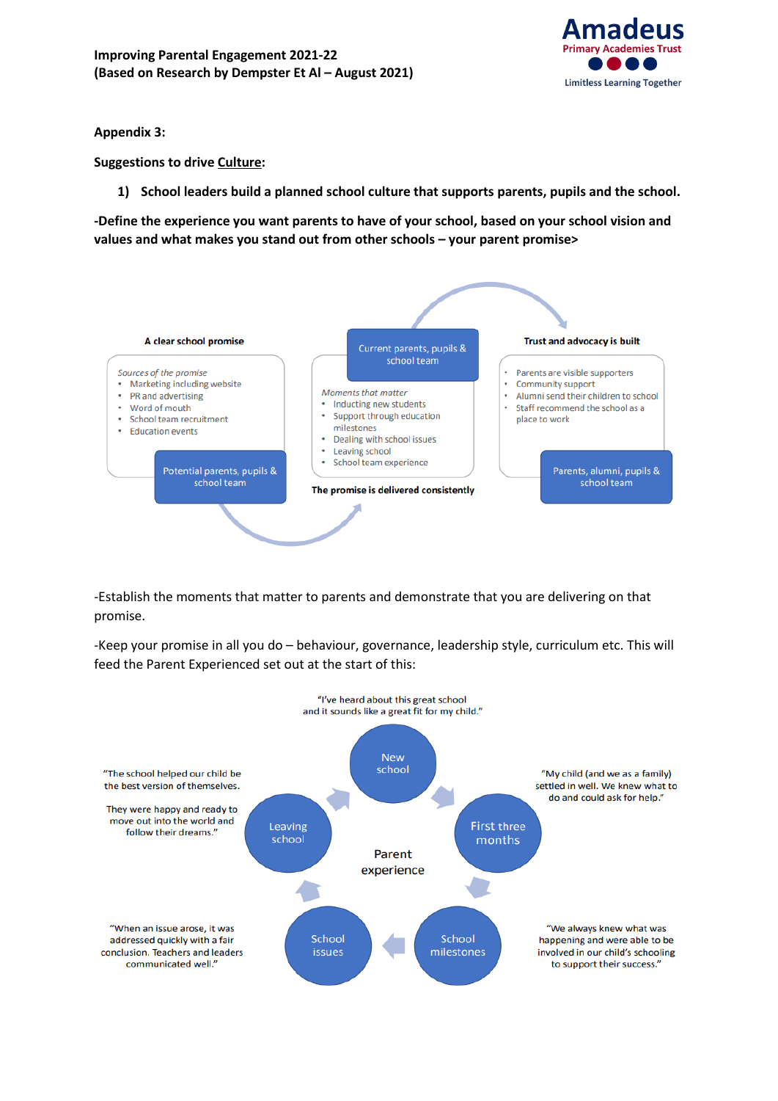

**Appendix 3:**

**Suggestions to drive Culture:**

**1) School leaders build a planned school culture that supports parents, pupils and the school.**

**-Define the experience you want parents to have of your school, based on your school vision and values and what makes you stand out from other schools – your parent promise>**



-Establish the moments that matter to parents and demonstrate that you are delivering on that promise.

-Keep your promise in all you do – behaviour, governance, leadership style, curriculum etc. This will feed the Parent Experienced set out at the start of this:

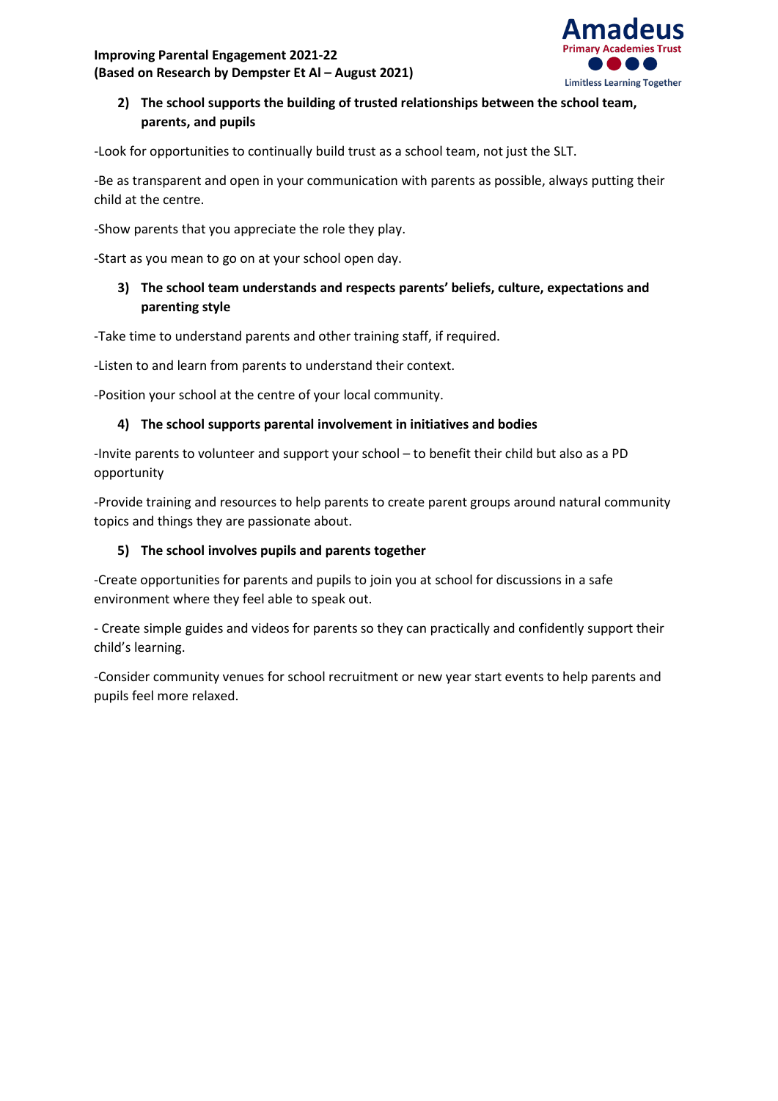

## **2) The school supports the building of trusted relationships between the school team, parents, and pupils**

-Look for opportunities to continually build trust as a school team, not just the SLT.

-Be as transparent and open in your communication with parents as possible, always putting their child at the centre.

-Show parents that you appreciate the role they play.

-Start as you mean to go on at your school open day.

## **3) The school team understands and respects parents' beliefs, culture, expectations and parenting style**

-Take time to understand parents and other training staff, if required.

-Listen to and learn from parents to understand their context.

-Position your school at the centre of your local community.

### **4) The school supports parental involvement in initiatives and bodies**

-Invite parents to volunteer and support your school – to benefit their child but also as a PD opportunity

-Provide training and resources to help parents to create parent groups around natural community topics and things they are passionate about.

### **5) The school involves pupils and parents together**

-Create opportunities for parents and pupils to join you at school for discussions in a safe environment where they feel able to speak out.

- Create simple guides and videos for parents so they can practically and confidently support their child's learning.

-Consider community venues for school recruitment or new year start events to help parents and pupils feel more relaxed.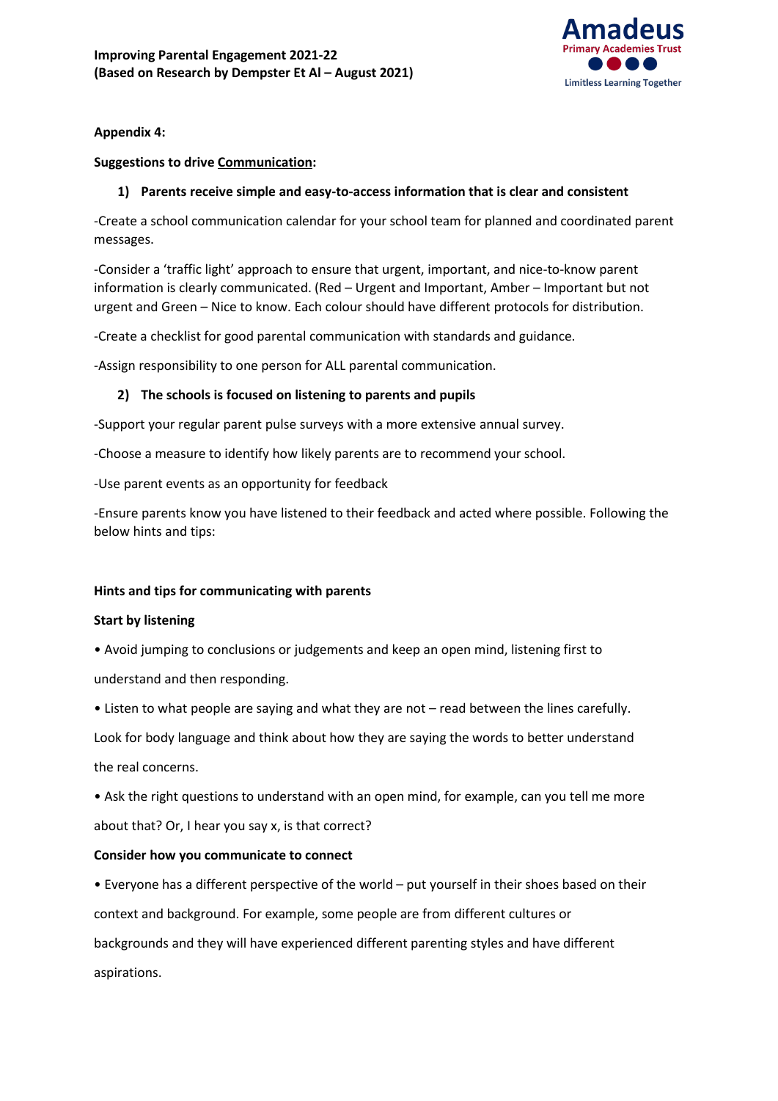

#### **Appendix 4:**

#### **Suggestions to drive Communication:**

### **1) Parents receive simple and easy-to-access information that is clear and consistent**

-Create a school communication calendar for your school team for planned and coordinated parent messages.

-Consider a 'traffic light' approach to ensure that urgent, important, and nice-to-know parent information is clearly communicated. (Red – Urgent and Important, Amber – Important but not urgent and Green – Nice to know. Each colour should have different protocols for distribution.

-Create a checklist for good parental communication with standards and guidance.

-Assign responsibility to one person for ALL parental communication.

### **2) The schools is focused on listening to parents and pupils**

-Support your regular parent pulse surveys with a more extensive annual survey.

-Choose a measure to identify how likely parents are to recommend your school.

-Use parent events as an opportunity for feedback

-Ensure parents know you have listened to their feedback and acted where possible. Following the below hints and tips:

#### **Hints and tips for communicating with parents**

#### **Start by listening**

- Avoid jumping to conclusions or judgements and keep an open mind, listening first to understand and then responding.
- Listen to what people are saying and what they are not read between the lines carefully.

Look for body language and think about how they are saying the words to better understand the real concerns.

• Ask the right questions to understand with an open mind, for example, can you tell me more about that? Or, I hear you say x, is that correct?

## **Consider how you communicate to connect**

• Everyone has a different perspective of the world – put yourself in their shoes based on their context and background. For example, some people are from different cultures or backgrounds and they will have experienced different parenting styles and have different aspirations.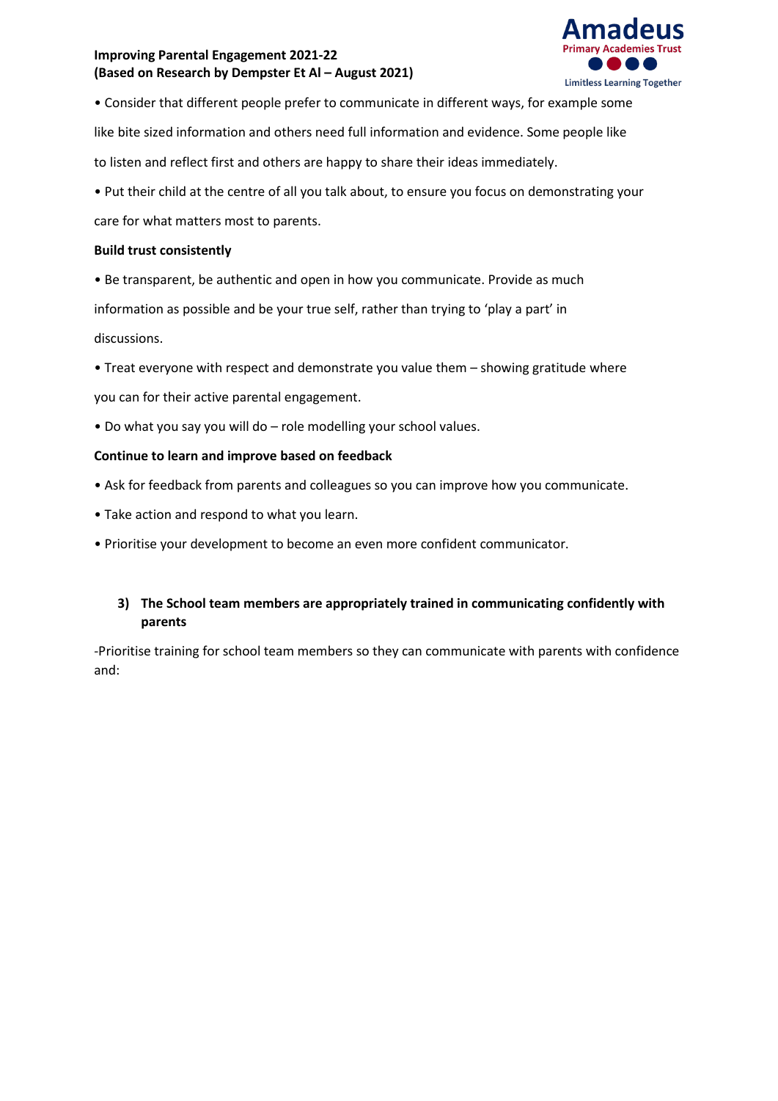

- Consider that different people prefer to communicate in different ways, for example some like bite sized information and others need full information and evidence. Some people like to listen and reflect first and others are happy to share their ideas immediately.
- Put their child at the centre of all you talk about, to ensure you focus on demonstrating your care for what matters most to parents.

#### **Build trust consistently**

- Be transparent, be authentic and open in how you communicate. Provide as much information as possible and be your true self, rather than trying to 'play a part' in discussions.
- Treat everyone with respect and demonstrate you value them showing gratitude where

you can for their active parental engagement.

• Do what you say you will do – role modelling your school values.

### **Continue to learn and improve based on feedback**

- Ask for feedback from parents and colleagues so you can improve how you communicate.
- Take action and respond to what you learn.
- Prioritise your development to become an even more confident communicator.

## **3) The School team members are appropriately trained in communicating confidently with parents**

-Prioritise training for school team members so they can communicate with parents with confidence and: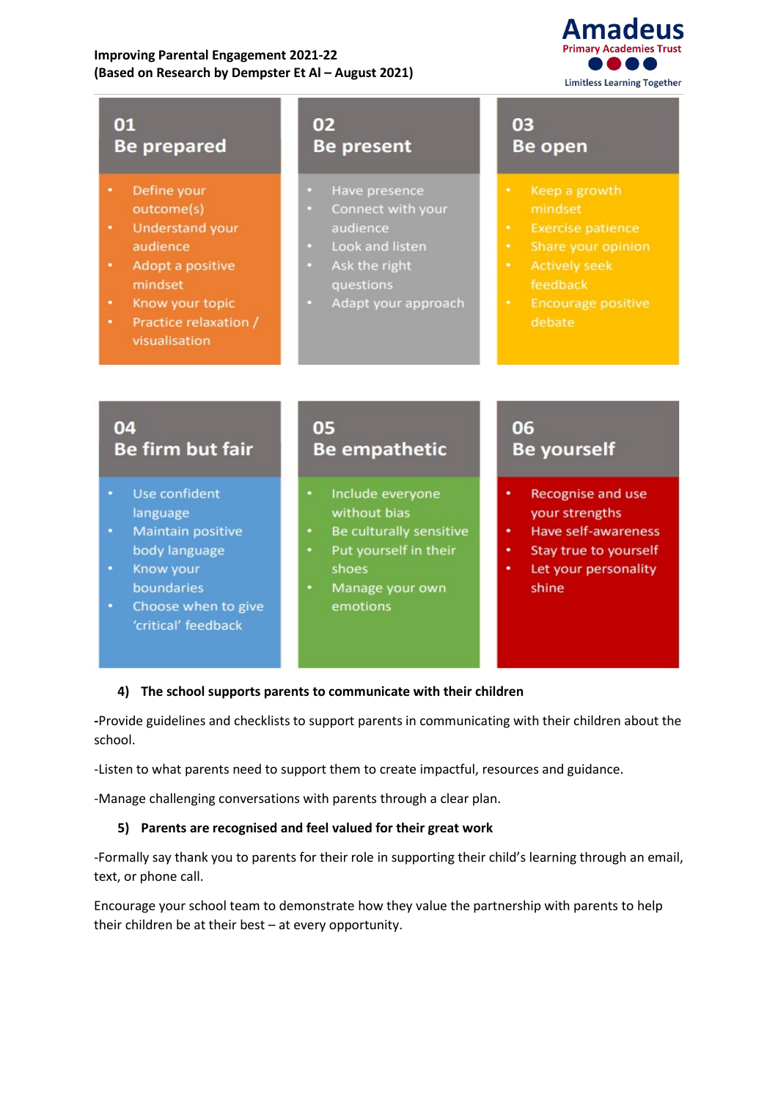

| 01                                                                                                                                                                              | 02                                                                                                                                                | 03                                                                                                                                                                                                 |
|---------------------------------------------------------------------------------------------------------------------------------------------------------------------------------|---------------------------------------------------------------------------------------------------------------------------------------------------|----------------------------------------------------------------------------------------------------------------------------------------------------------------------------------------------------|
| <b>Be prepared</b>                                                                                                                                                              | <b>Be present</b>                                                                                                                                 | <b>Be open</b>                                                                                                                                                                                     |
| Define your<br>outcome(s)<br><b>Understand your</b><br>٠<br>audience<br>Adopt a positive<br>٠<br>mindset<br>Know your topic<br>٠<br>Practice relaxation /<br>٠<br>visualisation | Have presence<br>×.<br>۰<br>Connect with your<br>audience<br>Look and listen<br>o<br>o,<br>Ask the right<br>questions<br>Adapt your approach<br>۰ | Keep a growth<br>٠<br>mindset<br>٠<br><b>Exercise patience</b><br>Share your opinion<br>$\bullet$ .<br><b>Actively seek</b><br>۰<br>feedback<br><b>Encourage positive</b><br>$\bullet$ .<br>debate |
| 04                                                                                                                                                                              | 05                                                                                                                                                | 06                                                                                                                                                                                                 |
| <b>Be firm but fair</b>                                                                                                                                                         | <b>Be empathetic</b>                                                                                                                              | <b>Be yourself</b>                                                                                                                                                                                 |
| Use confident<br>٠<br>language<br><b>Maintain positive</b><br>۰<br>body language<br>Know your<br>٠<br>boundaries<br>Choose when to give<br>'critical' feedback                  | Include everyone<br>٠<br>without bias<br>Be culturally sensitive<br>٠<br>Put yourself in their<br>٠<br>shoes<br>Manage your own<br>٠<br>emotions  | Recognise and use<br>٠<br>your strengths<br>Have self-awareness<br>٠<br>Stay true to yourself<br>٠<br>Let your personality<br>٠<br>shine                                                           |

## **4) The school supports parents to communicate with their children**

**-**Provide guidelines and checklists to support parents in communicating with their children about the school.

-Listen to what parents need to support them to create impactful, resources and guidance.

-Manage challenging conversations with parents through a clear plan.

## **5) Parents are recognised and feel valued for their great work**

-Formally say thank you to parents for their role in supporting their child's learning through an email, text, or phone call.

Encourage your school team to demonstrate how they value the partnership with parents to help their children be at their best – at every opportunity.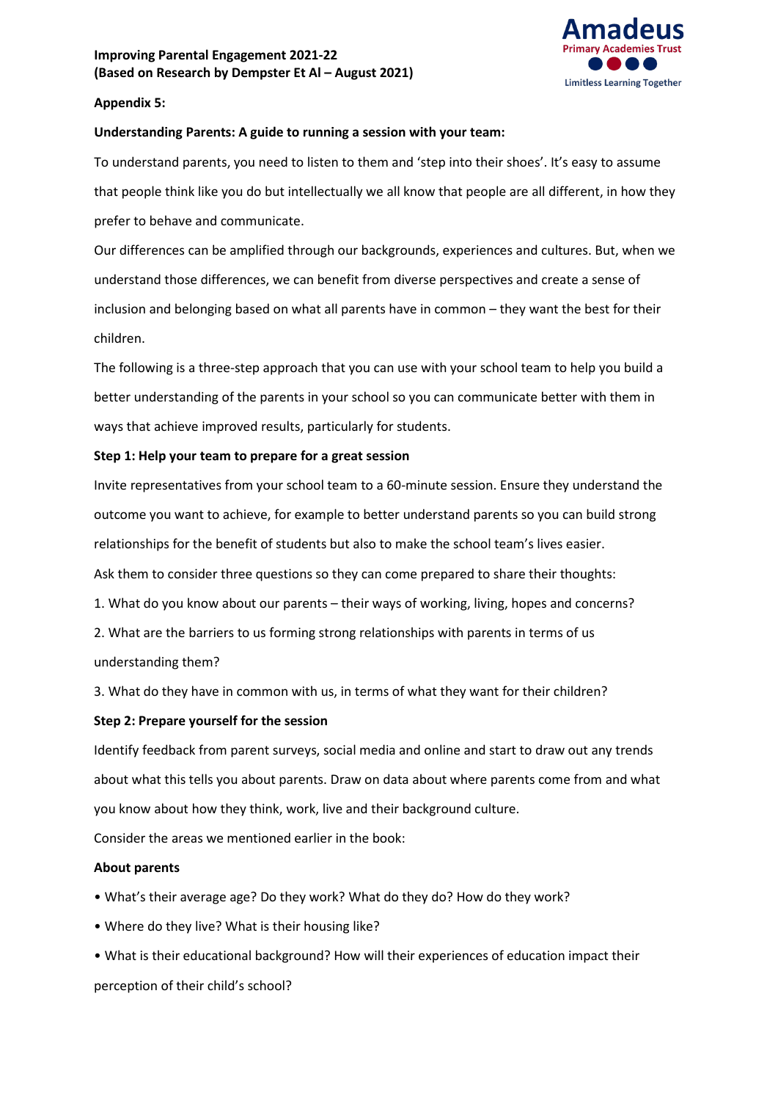

### **Appendix 5:**

#### **Understanding Parents: A guide to running a session with your team:**

To understand parents, you need to listen to them and 'step into their shoes'. It's easy to assume that people think like you do but intellectually we all know that people are all different, in how they prefer to behave and communicate.

Our differences can be amplified through our backgrounds, experiences and cultures. But, when we understand those differences, we can benefit from diverse perspectives and create a sense of inclusion and belonging based on what all parents have in common – they want the best for their children.

The following is a three-step approach that you can use with your school team to help you build a better understanding of the parents in your school so you can communicate better with them in ways that achieve improved results, particularly for students.

### **Step 1: Help your team to prepare for a great session**

Invite representatives from your school team to a 60-minute session. Ensure they understand the outcome you want to achieve, for example to better understand parents so you can build strong relationships for the benefit of students but also to make the school team's lives easier. Ask them to consider three questions so they can come prepared to share their thoughts:

1. What do you know about our parents – their ways of working, living, hopes and concerns?

2. What are the barriers to us forming strong relationships with parents in terms of us understanding them?

3. What do they have in common with us, in terms of what they want for their children?

#### **Step 2: Prepare yourself for the session**

Identify feedback from parent surveys, social media and online and start to draw out any trends about what this tells you about parents. Draw on data about where parents come from and what you know about how they think, work, live and their background culture.

Consider the areas we mentioned earlier in the book:

#### **About parents**

- What's their average age? Do they work? What do they do? How do they work?
- Where do they live? What is their housing like?
- What is their educational background? How will their experiences of education impact their perception of their child's school?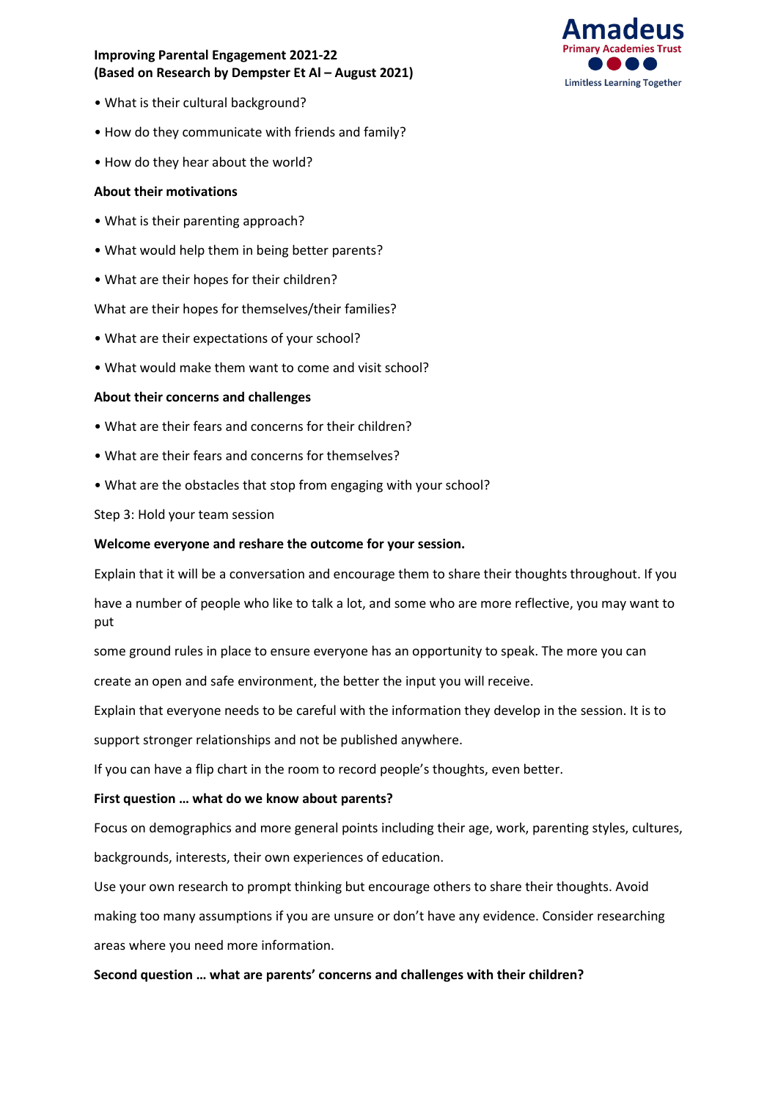- What is their cultural background?
- How do they communicate with friends and family?
- How do they hear about the world?

#### **About their motivations**

- What is their parenting approach?
- What would help them in being better parents?
- What are their hopes for their children?

What are their hopes for themselves/their families?

- What are their expectations of your school?
- What would make them want to come and visit school?

#### **About their concerns and challenges**

- What are their fears and concerns for their children?
- What are their fears and concerns for themselves?
- What are the obstacles that stop from engaging with your school?

Step 3: Hold your team session

#### **Welcome everyone and reshare the outcome for your session.**

Explain that it will be a conversation and encourage them to share their thoughts throughout. If you

have a number of people who like to talk a lot, and some who are more reflective, you may want to put

some ground rules in place to ensure everyone has an opportunity to speak. The more you can

create an open and safe environment, the better the input you will receive.

Explain that everyone needs to be careful with the information they develop in the session. It is to support stronger relationships and not be published anywhere.

If you can have a flip chart in the room to record people's thoughts, even better.

#### **First question … what do we know about parents?**

Focus on demographics and more general points including their age, work, parenting styles, cultures, backgrounds, interests, their own experiences of education.

Use your own research to prompt thinking but encourage others to share their thoughts. Avoid making too many assumptions if you are unsure or don't have any evidence. Consider researching areas where you need more information.

#### **Second question … what are parents' concerns and challenges with their children?**

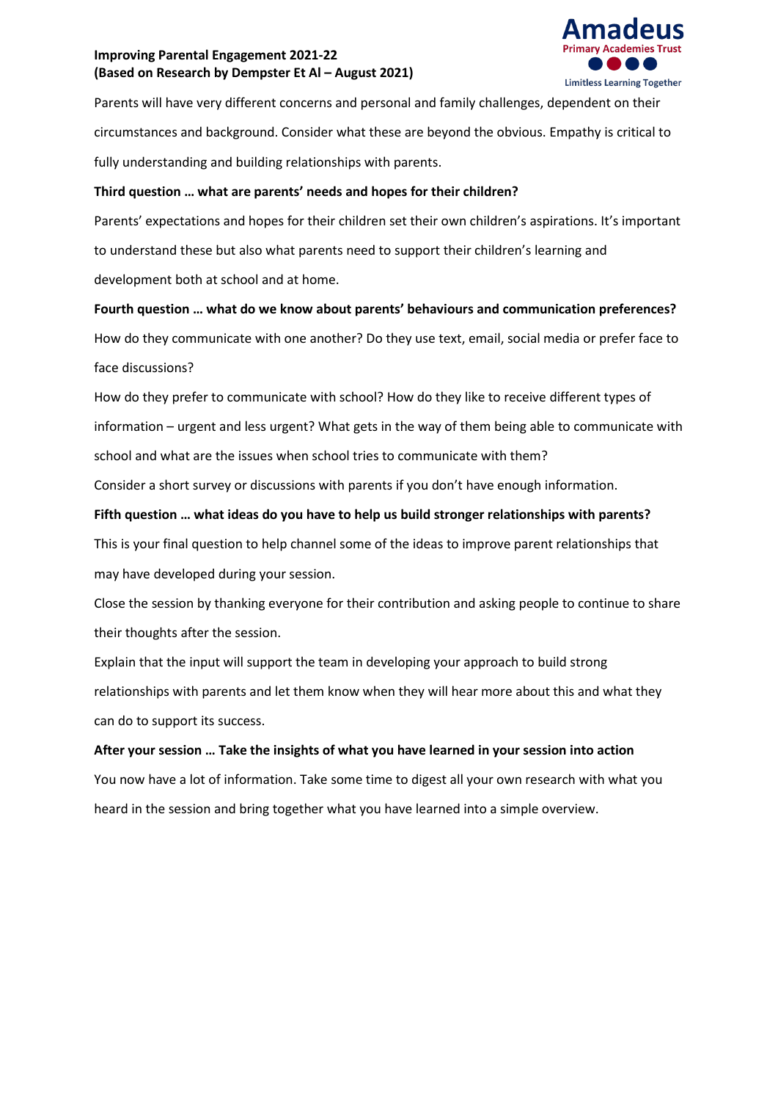

Parents will have very different concerns and personal and family challenges, dependent on their circumstances and background. Consider what these are beyond the obvious. Empathy is critical to fully understanding and building relationships with parents.

#### **Third question … what are parents' needs and hopes for their children?**

Parents' expectations and hopes for their children set their own children's aspirations. It's important to understand these but also what parents need to support their children's learning and development both at school and at home.

**Fourth question … what do we know about parents' behaviours and communication preferences?** How do they communicate with one another? Do they use text, email, social media or prefer face to face discussions?

How do they prefer to communicate with school? How do they like to receive different types of information – urgent and less urgent? What gets in the way of them being able to communicate with school and what are the issues when school tries to communicate with them?

Consider a short survey or discussions with parents if you don't have enough information.

**Fifth question … what ideas do you have to help us build stronger relationships with parents?** This is your final question to help channel some of the ideas to improve parent relationships that may have developed during your session.

Close the session by thanking everyone for their contribution and asking people to continue to share their thoughts after the session.

Explain that the input will support the team in developing your approach to build strong relationships with parents and let them know when they will hear more about this and what they can do to support its success.

#### **After your session … Take the insights of what you have learned in your session into action**

You now have a lot of information. Take some time to digest all your own research with what you heard in the session and bring together what you have learned into a simple overview.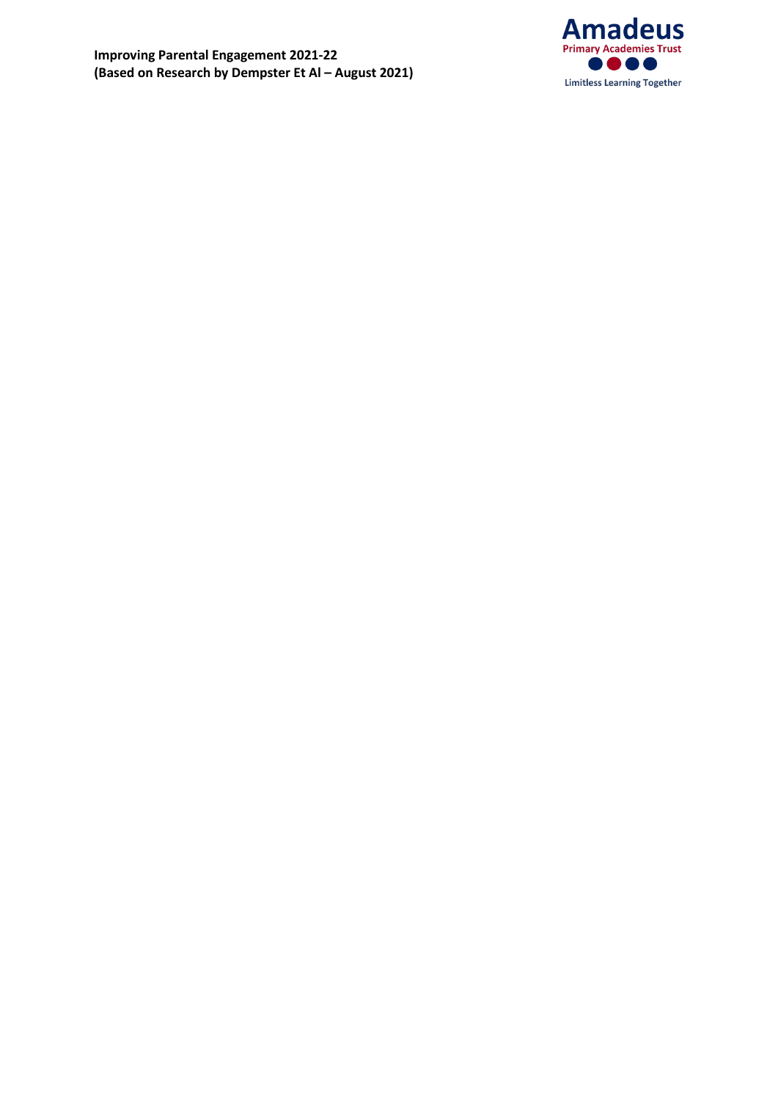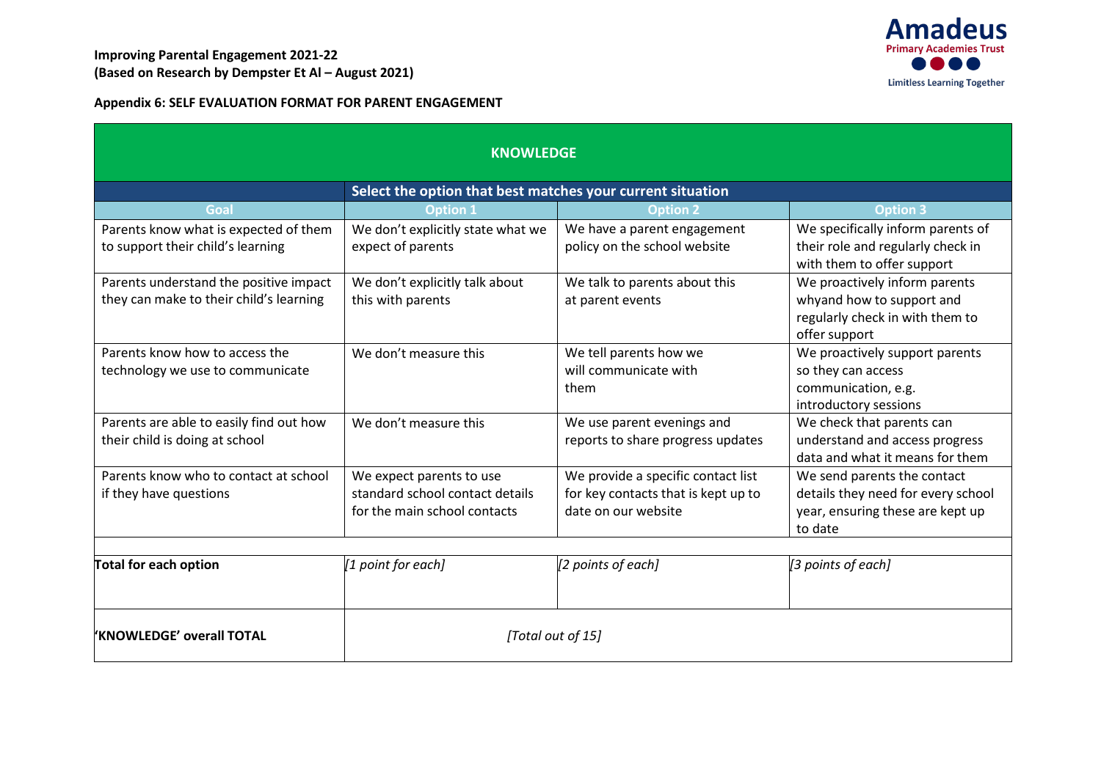

### **Appendix 6: SELF EVALUATION FORMAT FOR PARENT ENGAGEMENT**

| <b>KNOWLEDGE</b>                                                                  |                                                                                             |                                                                                                  |                                                                                                                  |
|-----------------------------------------------------------------------------------|---------------------------------------------------------------------------------------------|--------------------------------------------------------------------------------------------------|------------------------------------------------------------------------------------------------------------------|
| Select the option that best matches your current situation                        |                                                                                             |                                                                                                  |                                                                                                                  |
| Goa                                                                               | Option 1                                                                                    | <b>Option 2</b>                                                                                  | <b>Option 3</b>                                                                                                  |
| Parents know what is expected of them<br>to support their child's learning        | We don't explicitly state what we<br>expect of parents                                      | We have a parent engagement<br>policy on the school website                                      | We specifically inform parents of<br>their role and regularly check in<br>with them to offer support             |
| Parents understand the positive impact<br>they can make to their child's learning | We don't explicitly talk about<br>this with parents                                         | We talk to parents about this<br>at parent events                                                | We proactively inform parents<br>whyand how to support and<br>regularly check in with them to<br>offer support   |
| Parents know how to access the<br>technology we use to communicate                | We don't measure this                                                                       | We tell parents how we<br>will communicate with<br>them                                          | We proactively support parents<br>so they can access<br>communication, e.g.<br>introductory sessions             |
| Parents are able to easily find out how<br>their child is doing at school         | We don't measure this                                                                       | We use parent evenings and<br>reports to share progress updates                                  | We check that parents can<br>understand and access progress<br>data and what it means for them                   |
| Parents know who to contact at school<br>if they have questions                   | We expect parents to use<br>standard school contact details<br>for the main school contacts | We provide a specific contact list<br>for key contacts that is kept up to<br>date on our website | We send parents the contact<br>details they need for every school<br>year, ensuring these are kept up<br>to date |
| Total for each option                                                             | [1 point for each]                                                                          | [2 points of each]                                                                               | [3 points of each]                                                                                               |
| 'KNOWLEDGE' overall TOTAL                                                         | [Total out of 15]                                                                           |                                                                                                  |                                                                                                                  |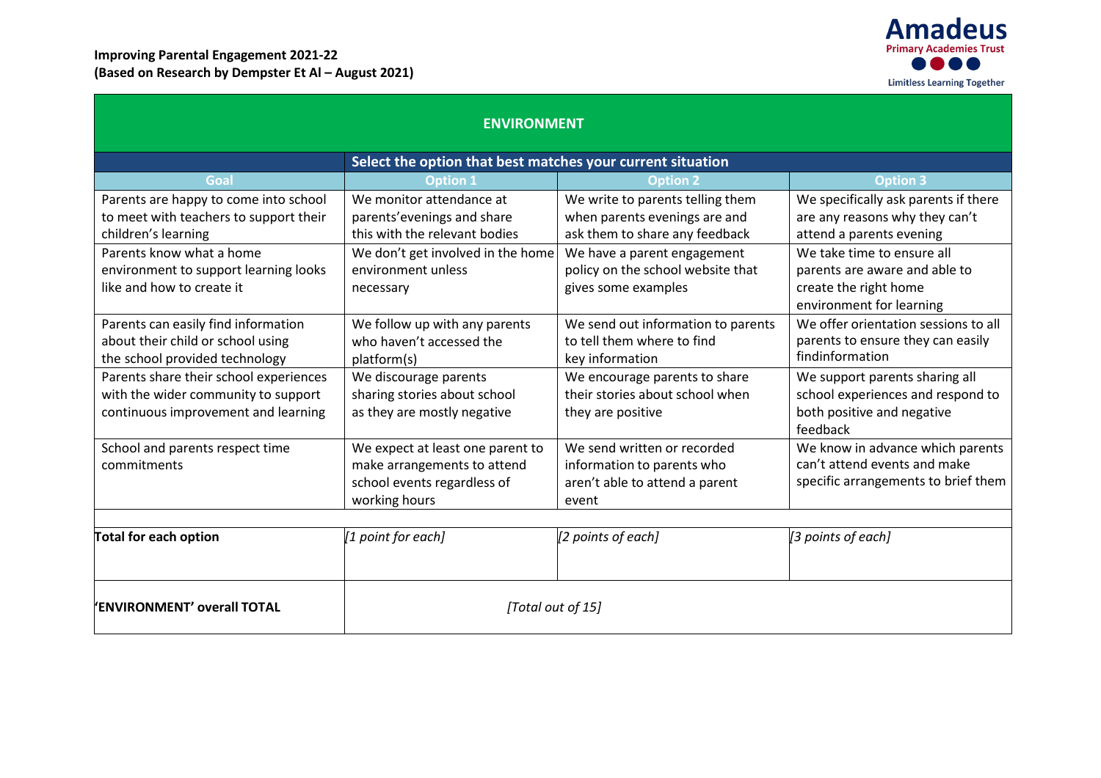

| <b>ENVIRONMENT</b>                                                                                                   |                                                                                                                 |                                                                                                      |                                                                                                                  |  |
|----------------------------------------------------------------------------------------------------------------------|-----------------------------------------------------------------------------------------------------------------|------------------------------------------------------------------------------------------------------|------------------------------------------------------------------------------------------------------------------|--|
|                                                                                                                      | Select the option that best matches your current situation                                                      |                                                                                                      |                                                                                                                  |  |
| Goal                                                                                                                 | <b>Option 1</b>                                                                                                 | <b>Option 2</b>                                                                                      | <b>Option 3</b>                                                                                                  |  |
| Parents are happy to come into school<br>to meet with teachers to support their<br>children's learning               | We monitor attendance at<br>parents' evenings and share<br>this with the relevant bodies                        | We write to parents telling them<br>when parents evenings are and<br>ask them to share any feedback  | We specifically ask parents if there<br>are any reasons why they can't<br>attend a parents evening               |  |
| Parents know what a home<br>environment to support learning looks<br>like and how to create it                       | We don't get involved in the home<br>environment unless<br>necessary                                            | We have a parent engagement<br>policy on the school website that<br>gives some examples              | We take time to ensure all<br>parents are aware and able to<br>create the right home<br>environment for learning |  |
| Parents can easily find information<br>about their child or school using<br>the school provided technology           | We follow up with any parents<br>who haven't accessed the<br>platform(s)                                        | We send out information to parents<br>to tell them where to find<br>key information                  | We offer orientation sessions to all<br>parents to ensure they can easily<br>findinformation                     |  |
| Parents share their school experiences<br>with the wider community to support<br>continuous improvement and learning | We discourage parents<br>sharing stories about school<br>as they are mostly negative                            | We encourage parents to share<br>their stories about school when<br>they are positive                | We support parents sharing all<br>school experiences and respond to<br>both positive and negative<br>feedback    |  |
| School and parents respect time<br>commitments                                                                       | We expect at least one parent to<br>make arrangements to attend<br>school events regardless of<br>working hours | We send written or recorded<br>information to parents who<br>aren't able to attend a parent<br>event | We know in advance which parents<br>can't attend events and make<br>specific arrangements to brief them          |  |
| Total for each option                                                                                                | [1 point for each]                                                                                              | [2 points of each]                                                                                   | [3 points of each]                                                                                               |  |
| "ENVIRONMENT' overall TOTAL<br>[Total out of 15]                                                                     |                                                                                                                 |                                                                                                      |                                                                                                                  |  |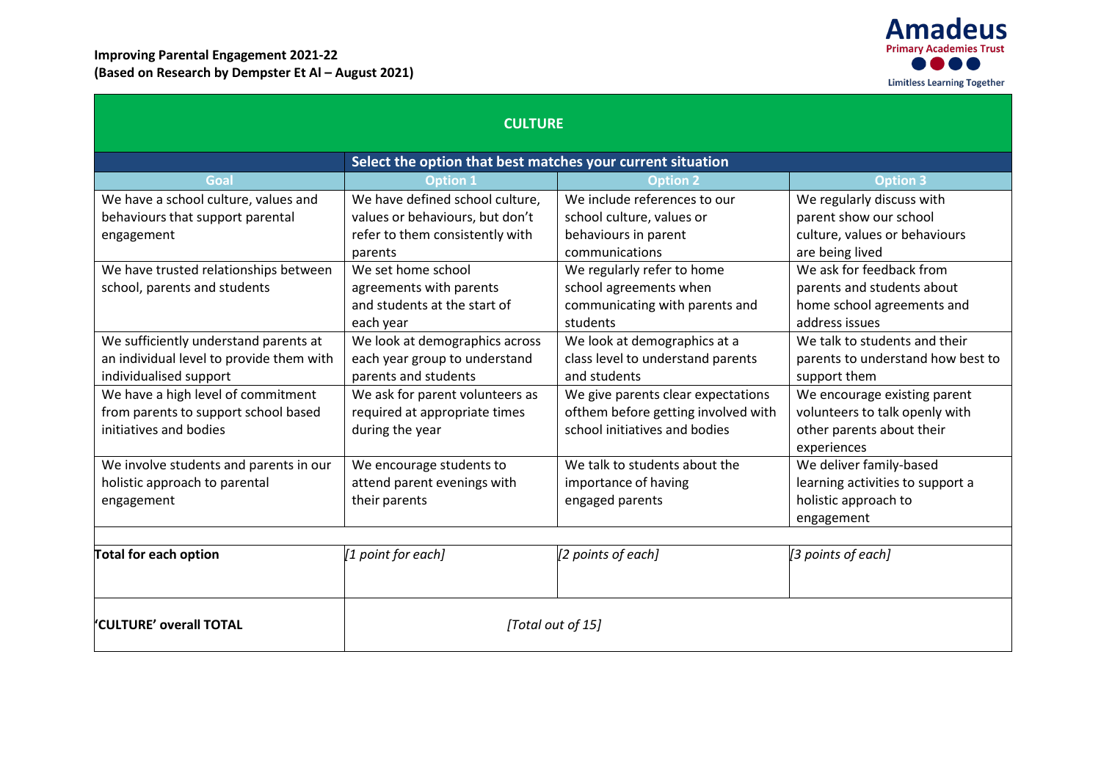

| <b>CULTURE</b>                               |                                                            |                                     |                                   |  |
|----------------------------------------------|------------------------------------------------------------|-------------------------------------|-----------------------------------|--|
|                                              | Select the option that best matches your current situation |                                     |                                   |  |
| Goal                                         | Option 1                                                   | Option 2                            | <b>Option 3</b>                   |  |
| We have a school culture, values and         | We have defined school culture,                            | We include references to our        | We regularly discuss with         |  |
| behaviours that support parental             | values or behaviours, but don't                            | school culture, values or           | parent show our school            |  |
| engagement                                   | refer to them consistently with                            | behaviours in parent                | culture, values or behaviours     |  |
|                                              | parents                                                    | communications                      | are being lived                   |  |
| We have trusted relationships between        | We set home school                                         | We regularly refer to home          | We ask for feedback from          |  |
| school, parents and students                 | agreements with parents                                    | school agreements when              | parents and students about        |  |
|                                              | and students at the start of                               | communicating with parents and      | home school agreements and        |  |
|                                              | each year                                                  | students                            | address issues                    |  |
| We sufficiently understand parents at        | We look at demographics across                             | We look at demographics at a        | We talk to students and their     |  |
| an individual level to provide them with     | each year group to understand                              | class level to understand parents   | parents to understand how best to |  |
| individualised support                       | parents and students                                       | and students                        | support them                      |  |
| We have a high level of commitment           | We ask for parent volunteers as                            | We give parents clear expectations  | We encourage existing parent      |  |
| from parents to support school based         | required at appropriate times                              | ofthem before getting involved with | volunteers to talk openly with    |  |
| initiatives and bodies                       | during the year                                            | school initiatives and bodies       | other parents about their         |  |
|                                              |                                                            |                                     | experiences                       |  |
| We involve students and parents in our       | We encourage students to                                   | We talk to students about the       | We deliver family-based           |  |
| holistic approach to parental                | attend parent evenings with                                | importance of having                | learning activities to support a  |  |
| engagement                                   | their parents                                              | engaged parents                     | holistic approach to              |  |
|                                              |                                                            |                                     | engagement                        |  |
|                                              |                                                            |                                     |                                   |  |
| Total for each option                        | [1 point for each]                                         | [2 points of each]                  | [3 points of each]                |  |
|                                              |                                                            |                                     |                                   |  |
| "CULTURE' overall TOTAL<br>[Total out of 15] |                                                            |                                     |                                   |  |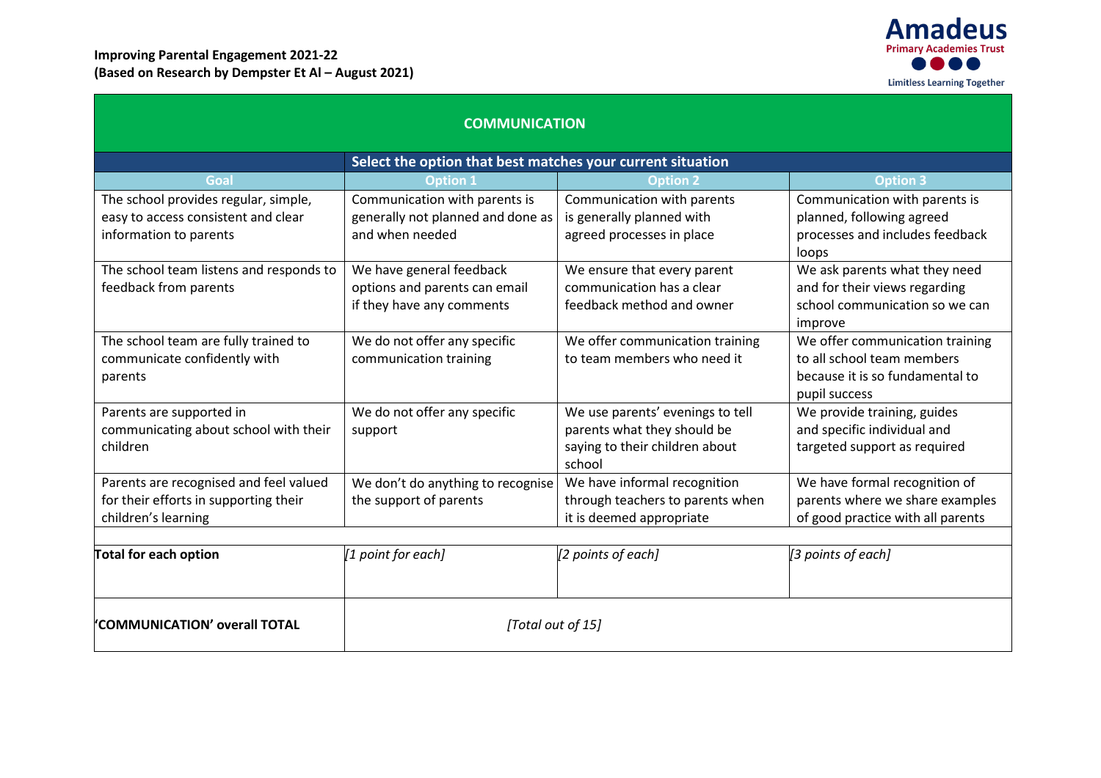

| <b>COMMUNICATION</b>                                                                                   |                                                                                        |                                                                                                             |                                                                                                                   |
|--------------------------------------------------------------------------------------------------------|----------------------------------------------------------------------------------------|-------------------------------------------------------------------------------------------------------------|-------------------------------------------------------------------------------------------------------------------|
| Select the option that best matches your current situation                                             |                                                                                        |                                                                                                             |                                                                                                                   |
| Goal                                                                                                   | Option 1                                                                               | <b>Option 2</b>                                                                                             | <b>Option 3</b>                                                                                                   |
| The school provides regular, simple,<br>easy to access consistent and clear<br>information to parents  | Communication with parents is<br>generally not planned and done as<br>and when needed  | Communication with parents<br>is generally planned with<br>agreed processes in place                        | Communication with parents is<br>planned, following agreed<br>processes and includes feedback<br>loops            |
| The school team listens and responds to<br>feedback from parents                                       | We have general feedback<br>options and parents can email<br>if they have any comments | We ensure that every parent<br>communication has a clear<br>feedback method and owner                       | We ask parents what they need<br>and for their views regarding<br>school communication so we can<br>improve       |
| The school team are fully trained to<br>communicate confidently with<br>parents                        | We do not offer any specific<br>communication training                                 | We offer communication training<br>to team members who need it                                              | We offer communication training<br>to all school team members<br>because it is so fundamental to<br>pupil success |
| Parents are supported in<br>communicating about school with their<br>children                          | We do not offer any specific<br>support                                                | We use parents' evenings to tell<br>parents what they should be<br>saying to their children about<br>school | We provide training, guides<br>and specific individual and<br>targeted support as required                        |
| Parents are recognised and feel valued<br>for their efforts in supporting their<br>children's learning | We don't do anything to recognise<br>the support of parents                            | We have informal recognition<br>through teachers to parents when<br>it is deemed appropriate                | We have formal recognition of<br>parents where we share examples<br>of good practice with all parents             |
| Total for each option                                                                                  | [1 point for each]                                                                     | [2 points of each]                                                                                          | [3 points of each]                                                                                                |
| 'COMMUNICATION' overall TOTAL                                                                          | [Total out of 15]                                                                      |                                                                                                             |                                                                                                                   |